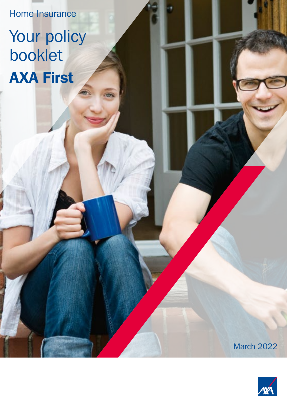Home Insurance

# Your policy booklet AXA First

March 2022

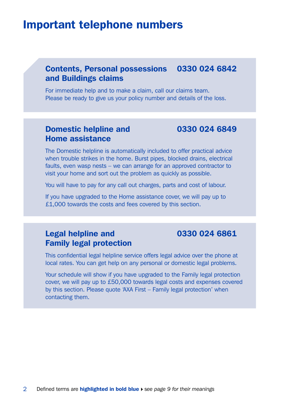# Important telephone numbers

# Contents, Personal possessions 0330 024 6842 and Buildings claims

For immediate help and to make a claim, call our claims team. Please be ready to give us your policy number and details of the loss.

# Domestic helpline and 0330 024 6849 Home assistance

The Domestic helpline is automatically included to offer practical advice when trouble strikes in the home. Burst pipes, blocked drains, electrical faults, even wasp nests – we can arrange for an approved contractor to visit your home and sort out the problem as quickly as possible.

You will have to pay for any call out charges, parts and cost of labour.

If you have upgraded to the Home assistance cover, we will pay up to £1,000 towards the costs and fees covered by this section.

# **Legal helpline and 0330 024 6861** Family legal protection

This confidential legal helpline service offers legal advice over the phone at local rates. You can get help on any personal or domestic legal problems.

Your schedule will show if you have upgraded to the Family legal protection cover, we will pay up to £50,000 towards legal costs and expenses covered by this section. Please quote 'AXA First – Family legal protection' when contacting them.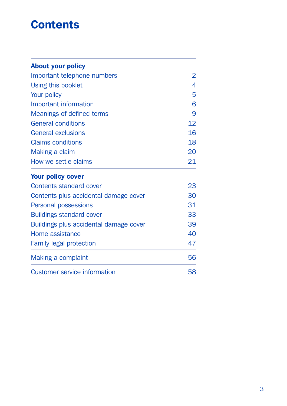# **Contents**

| <b>About your policy</b>                                                                                             |                                     |                           |    |
|----------------------------------------------------------------------------------------------------------------------|-------------------------------------|---------------------------|----|
| Important telephone numbers                                                                                          | 2                                   |                           |    |
| Using this booklet<br>Your policy<br>Important information<br>Meanings of defined terms<br><b>General conditions</b> | 4<br>5<br>6<br>9<br>12 <sup>2</sup> |                           |    |
|                                                                                                                      |                                     | <b>General exclusions</b> | 16 |
|                                                                                                                      |                                     | <b>Claims conditions</b>  | 18 |
|                                                                                                                      |                                     | Making a claim            | 20 |
|                                                                                                                      |                                     | How we settle claims      | 21 |
| <b>Your policy cover</b>                                                                                             |                                     |                           |    |
| Contents standard cover                                                                                              | 23                                  |                           |    |
| Contents plus accidental damage cover                                                                                | 30                                  |                           |    |
| Personal possessions                                                                                                 | 31                                  |                           |    |
| <b>Buildings standard cover</b>                                                                                      | 33                                  |                           |    |
| Buildings plus accidental damage cover                                                                               | 39                                  |                           |    |
| Home assistance                                                                                                      | 40                                  |                           |    |
| <b>Family legal protection</b>                                                                                       | 47                                  |                           |    |
| Making a complaint                                                                                                   | 56                                  |                           |    |
| Customer service information                                                                                         | 58                                  |                           |    |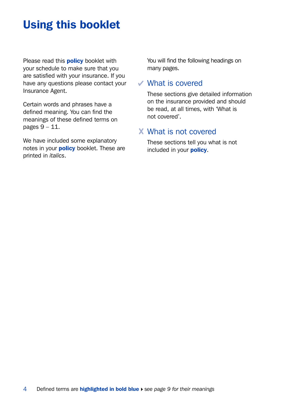# Using this booklet

Please read this **policy** booklet with your schedule to make sure that you are satisfied with your insurance. If you have any questions please contact your Insurance Agent.

Certain words and phrases have a defined meaning. You can find the meanings of these defined terms on pages 9 – 11.

We have included some explanatory notes in your **policy** booklet. These are printed in *italics*.

You will find the following headings on many pages.

## What is covered

These sections give detailed information on the insurance provided and should be read, at all times, with 'What is not covered'.

# What is not covered

These sections tell you what is not included in your **policy.**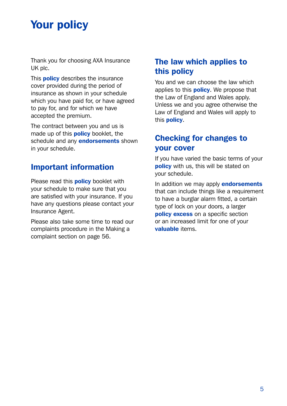# Your policy

Thank you for choosing AXA Insurance UK plc.

This **policy** describes the insurance cover provided during the period of insurance as shown in your schedule which you have paid for, or have agreed to pay for, and for which we have accepted the premium.

The contract between you and us is made up of this **policy** booklet, the schedule and any **endorsements** shown in your schedule.

# Important information

Please read this **policy** booklet with your schedule to make sure that you are satisfied with your insurance. If you have any questions please contact your Insurance Agent.

Please also take some time to read our complaints procedure in the Making a complaint section on page 56.

# The law which applies to this policy

You and we can choose the law which applies to this **policy**. We propose that the Law of England and Wales apply. Unless we and you agree otherwise the Law of England and Wales will apply to this **policy**.

# Checking for changes to your cover

If you have varied the basic terms of your policy with us, this will be stated on your schedule.

In addition we may apply **endorsements** that can include things like a requirement to have a burglar alarm fitted, a certain type of lock on your doors, a larger **policy excess** on a specific section or an increased limit for one of your valuable items.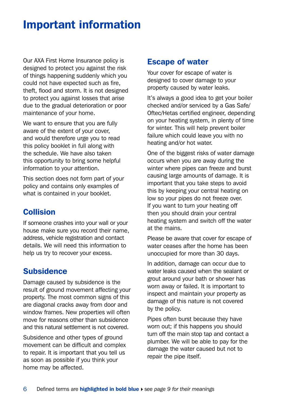# Important information

Our AXA First Home Insurance policy is designed to protect you against the risk of things happening suddenly which you could not have expected such as fire, theft, flood and storm. It is not designed to protect you against losses that arise due to the gradual deterioration or poor maintenance of your home.

We want to ensure that you are fully aware of the extent of your cover, and would therefore urge you to read this policy booklet in full along with the schedule. We have also taken this opportunity to bring some helpful information to your attention.

This section does not form part of your policy and contains only examples of what is contained in your booklet.

# Collision

If someone crashes into your wall or your house make sure you record their name, address, vehicle registration and contact details. We will need this information to help us try to recover your excess.

# **Subsidence**

Damage caused by subsidence is the result of ground movement affecting your property. The most common signs of this are diagonal cracks away from door and window frames. New properties will often move for reasons other than subsidence and this natural settlement is not covered.

Subsidence and other types of ground movement can be difficult and complex to repair. It is important that you tell us as soon as possible if you think your home may be affected.

## Escape of water

Your cover for escape of water is designed to cover damage to your property caused by water leaks.

It's always a good idea to get your boiler checked and/or serviced by a Gas Safe/ Oftec/Hetas certified engineer, depending on your heating system, in plenty of time for winter. This will help prevent boiler failure which could leave you with no heating and/or hot water.

One of the biggest risks of water damage occurs when you are away during the winter where pipes can freeze and burst causing large amounts of damage. It is important that you take steps to avoid this by keeping your central heating on low so your pipes do not freeze over. If you want to turn your heating off then you should drain your central heating system and switch off the water at the mains.

Please be aware that cover for escape of water ceases after the home has been unoccupied for more than 30 days.

In addition, damage can occur due to water leaks caused when the sealant or grout around your bath or shower has worn away or failed. It is important to inspect and maintain your property as damage of this nature is not covered by the policy.

Pipes often burst because they have worn out; if this happens you should turn off the main stop tap and contact a plumber. We will be able to pay for the damage the water caused but not to repair the pipe itself.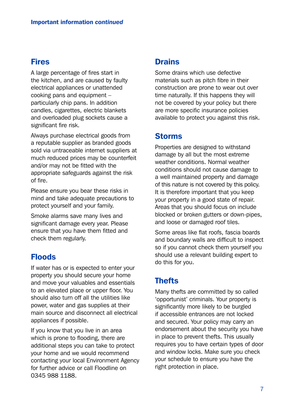# Fires

A large percentage of fires start in the kitchen, and are caused by faulty electrical appliances or unattended cooking pans and equipment – particularly chip pans. In addition candles, cigarettes, electric blankets and overloaded plug sockets cause a significant fire risk.

Always purchase electrical goods from a reputable supplier as branded goods sold via untraceable internet suppliers at much reduced prices may be counterfeit and/or may not be fitted with the appropriate safeguards against the risk of fire.

Please ensure you bear these risks in mind and take adequate precautions to protect yourself and your family.

Smoke alarms save many lives and significant damage every year. Please ensure that you have them fitted and check them regularly.

# Floods

If water has or is expected to enter your property you should secure your home and move your valuables and essentials to an elevated place or upper floor. You should also turn off all the utilities like power, water and gas supplies at their main source and disconnect all electrical appliances if possible.

If you know that you live in an area which is prone to flooding, there are additional steps you can take to protect your home and we would recommend contacting your local Environment Agency for further advice or call Floodline on 0345 988 1188.

# **Drains**

Some drains which use defective materials such as pitch fibre in their construction are prone to wear out over time naturally. If this happens they will not be covered by your policy but there are more specific insurance policies available to protect you against this risk.

## Storms

Properties are designed to withstand damage by all but the most extreme weather conditions. Normal weather conditions should not cause damage to a well maintained property and damage of this nature is not covered by this policy. It is therefore important that you keep your property in a good state of repair. Areas that you should focus on include blocked or broken gutters or down-pipes, and loose or damaged roof tiles.

Some areas like flat roofs, fascia boards and boundary walls are difficult to inspect so if you cannot check them yourself you should use a relevant building expert to do this for you.

# **Thefts**

Many thefts are committed by so called 'opportunist' criminals. Your property is significantly more likely to be burgled if accessible entrances are not locked and secured. Your policy may carry an endorsement about the security you have in place to prevent thefts. This usually requires you to have certain types of door and window locks. Make sure you check your schedule to ensure you have the right protection in place.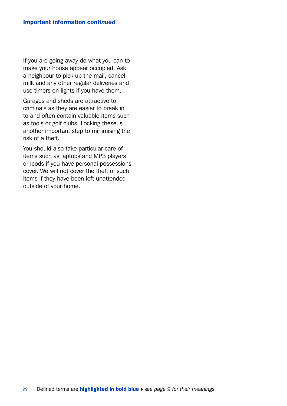If you are going away do what you can to make your house appear occupied. Ask a neighbour to pick up the mail, cancel milk and any other regular deliveries and use timers on lights if you have them.

Garages and sheds are attractive to criminals as they are easier to break in to and often contain valuable items such as tools or golf clubs. Locking these is another important step to minimising the risk of a theft.

You should also take particular care of items such as laptops and MP3 players or ipods if you have personal possessions cover. We will not cover the theft of such items if they have been left unattended outside of your home.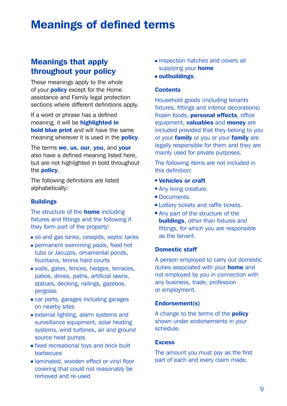# Meanings of defined terms

# Meanings that apply throughout your policy

These meanings apply to the whole of your **policy** except for the Home assistance and Family legal protection sections where different definitions apply.

If a word or phrase has a defined meaning, it will be **highlighted in bold blue print** and will have the same meaning wherever it is used in the **policy**.

The terms we, us, our, you, and your also have a defined meaning listed here, but are not highlighted in bold throughout the policy.

The following definitions are listed alphabetically:

#### **Buildings**

The structure of the **home** including fixtures and fittings and the following if they form part of the property:

- oil and gas tanks, cesspits, septic tanks
- permanent swimming pools, fixed hot tubs or Jacuzzis, ornamental ponds, fountains, tennis hard courts
- walls, gates, fences, hedges, terraces, patios, drives, paths, artificial lawns, statues, decking, railings, gazebos, pergolas
- car ports, garages including garages on nearby sites
- external lighting, alarm systems and surveillance equipment, solar heating systems, wind turbines, air and ground source heat pumps
- **fixed recreational toys and brick built** barbecues
- laminated, wooden effect or vinyl floor covering that could not reasonably be removed and re-used
- **Exercise inspection hatches and covers all** supplying your **home**
- outbuildings.

#### **Contents**

Household goods (including tenants fixtures, fittings and interior decorations) frozen foods, **personal effects**, office equipment, **valuables** and **money** are included provided that they belong to you or your **family** or you or your **family** are legally responsible for them and they are mainly used for private purposes.

The following items are not included in this definition:

- Vehicles or craft
- Any living creature.
- Documents
- Lottery tickets and raffle tickets.
- Any part of the structure of the **buildings**, other than fixtures and fittings, for which you are responsible as the tenant.

#### Domestic staff

A person employed to carry out domestic duties associated with your **home** and not employed by you in connection with any business, trade, profession or employment.

#### Endorsement(s)

A change to the terms of the **policy** shown under endorsements in your schedule.

#### **Excess**

The amount you must pay as the first part of each and every claim made.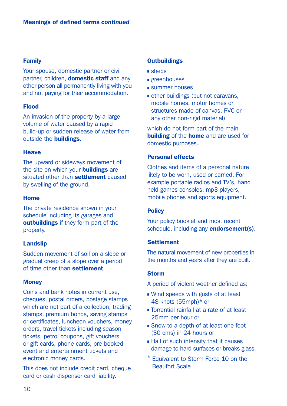#### Family

Your spouse, domestic partner or civil partner, children, **domestic staff** and any other person all permanently living with you and not paying for their accommodation.

#### Flood

An invasion of the property by a large volume of water caused by a rapid build-up or sudden release of water from outside the buildings.

#### **Heave**

The upward or sideways movement of the site on which your **buildings** are situated other than settlement caused by swelling of the ground.

#### Home

The private residence shown in your schedule including its garages and outbuildings if they form part of the property.

#### Landslip

Sudden movement of soil on a slope or gradual creep of a slope over a period of time other than settlement.

#### **Money**

Coins and bank notes in current use, cheques, postal orders, postage stamps which are not part of a collection, trading stamps, premium bonds, saving stamps or certificates, luncheon vouchers, money orders, travel tickets including season tickets, petrol coupons, gift vouchers or gift cards, phone cards, pre-booked event and entertainment tickets and electronic money cards.

This does not include credit card, cheque card or cash dispenser card liability.

#### **Outbuildings**

- sheds
- greenhouses
- summer houses
- other buildings (but not caravans, mobile homes, motor homes or structures made of canvas, PVC or any other non-rigid material)

which do not form part of the main **building** of the **home** and are used for domestic purposes.

#### Personal effects

Clothes and items of a personal nature likely to be worn, used or carried. For example portable radios and TV's, hand held games consoles, mp3 players, mobile phones and sports equipment.

#### **Policy**

Your policy booklet and most recent schedule, including any endorsement(s).

#### **Settlement**

The natural movement of new properties in the months and years after they are built.

#### Storm

- A period of violent weather defined as:
- Wind speeds with gusts of at least 48 knots (55mph)\* or
- Torrential rainfall at a rate of at least 25mm per hour or
- **Snow to a depth of at least one foot** (30 cms) in 24 hours or
- **Hail of such intensity that it causes** damage to hard surfaces or breaks glass.
- \* Equivalent to Storm Force 10 on the Beaufort Scale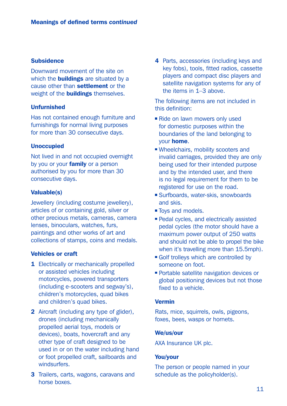#### Subsidence

Downward movement of the site on which the **buildings** are situated by a cause other than settlement or the weight of the **buildings** themselves.

#### Unfurnished

Has not contained enough furniture and furnishings for normal living purposes for more than 30 consecutive days.

#### Unoccupied

Not lived in and not occupied overnight by you or your **family** or a person authorised by you for more than 30 consecutive days.

#### Valuable(s)

Jewellery (including costume jewellery), articles of or containing gold, silver or other precious metals, cameras, camera lenses, binoculars, watches, furs, paintings and other works of art and collections of stamps, coins and medals.

#### Vehicles or craft

- 1 Electrically or mechanically propelled or assisted vehicles including motorcycles, powered transporters (including e-scooters and segway's), children's motorcycles, quad bikes and children's quad bikes.
- 2 Aircraft (including any type of glider), drones (including mechanically propelled aerial toys, models or devices), boats, hovercraft and any other type of craft designed to be used in or on the water including hand or foot propelled craft, sailboards and windsurfers.
- 3 Trailers, carts, wagons, caravans and horse boxes.

4 Parts, accessories (including keys and key fobs), tools, fitted radios, cassette players and compact disc players and satellite navigation systems for any of the items in 1–3 above.

The following items are not included in this definition:

- Ride on lawn mowers only used for domestic purposes within the boundaries of the land belonging to your home.
- Wheelchairs, mobility scooters and invalid carriages, provided they are only being used for their intended purpose and by the intended user, and there is no legal requirement for them to be registered for use on the road.
- Surfboards, water-skis, snowboards and skis.
- Toys and models.
- Pedal cycles, and electrically assisted pedal cycles (the motor should have a maximum power output of 250 watts and should not be able to propel the bike when it's travelling more than 15.5mph).
- Golf trolleys which are controlled by someone on foot.
- **Portable satellite navigation devices or** global positioning devices but not those fixed to a vehicle.

#### Vermin

Rats, mice, squirrels, owls, pigeons, foxes, bees, wasps or hornets.

#### We/us/our

AXA Insurance UK plc.

#### You/your

The person or people named in your schedule as the policyholder(s).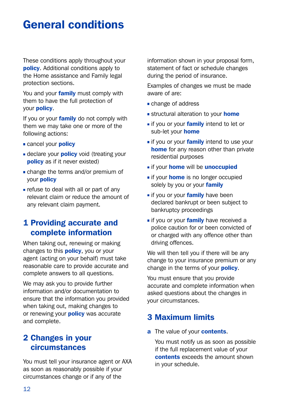# General conditions

These conditions apply throughout your **policy.** Additional conditions apply to the Home assistance and Family legal protection sections.

You and your **family** must comply with them to have the full protection of your policy.

If you or your family do not comply with them we may take one or more of the following actions:

- cancel your **policy**
- declare your **policy** void (treating your policy as if it never existed)
- change the terms and/or premium of your policy
- refuse to deal with all or part of any relevant claim or reduce the amount of any relevant claim payment.

# 1 Providing accurate and complete information

When taking out, renewing or making changes to this **policy**, you or your agent (acting on your behalf) must take reasonable care to provide accurate and complete answers to all questions.

We may ask you to provide further information and/or documentation to ensure that the information you provided when taking out, making changes to or renewing your **policy** was accurate and complete.

# 2 Changes in your circumstances

You must tell your insurance agent or AXA as soon as reasonably possible if your circumstances change or if any of the

information shown in your proposal form, statement of fact or schedule changes during the period of insurance.

Examples of changes we must be made aware of are:

- change of address
- structural alteration to your **home**
- if you or your family intend to let or sub-let your **home**
- **i** if you or your **family** intend to use your home for any reason other than private residential purposes
- **if your home will be unoccupied**
- **i** if your **home** is no longer occupied solely by you or your family
- if you or your family have been declared bankrupt or been subject to bankruptcy proceedings
- if you or your family have received a police caution for or been convicted of or charged with any offence other than driving offences.

We will then tell you if there will be any change to your insurance premium or any change in the terms of your **policy**.

You must ensure that you provide accurate and complete information when asked questions about the changes in your circumstances.

## 3 Maximum limits

a The value of your **contents**.

 You must notify us as soon as possible if the full replacement value of your contents exceeds the amount shown in your schedule.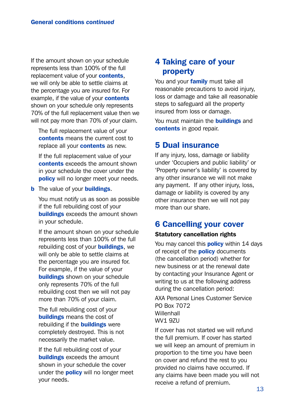If the amount shown on your schedule represents less than 100% of the full replacement value of your **contents**. we will only be able to settle claims at the percentage you are insured for. For example, if the value of your **contents** shown on your schedule only represents 70% of the full replacement value then we will not pay more than 70% of your claim.

 The full replacement value of your contents means the current cost to replace all your **contents** as new.

 If the full replacement value of your contents exceeds the amount shown in your schedule the cover under the policy will no longer meet your needs.

**b** The value of your **buildings**.

 You must notify us as soon as possible if the full rebuilding cost of your **buildings** exceeds the amount shown in your schedule.

 If the amount shown on your schedule represents less than 100% of the full rebuilding cost of your **buildings**, we will only be able to settle claims at the percentage you are insured for. For example, if the value of your **buildings** shown on your schedule only represents 70% of the full rebuilding cost then we will not pay more than 70% of your claim.

 The full rebuilding cost of your buildings means the cost of rebuilding if the **buildings** were completely destroyed. This is not necessarily the market value.

 If the full rebuilding cost of your **buildings** exceeds the amount shown in your schedule the cover under the **policy** will no longer meet your needs.

# 4 Taking care of your property

You and your *family* must take all reasonable precautions to avoid injury, loss or damage and take all reasonable steps to safeguard all the property insured from loss or damage.

You must maintain the **buildings** and contents in good repair.

# 5 Dual insurance

If any injury, loss, damage or liability under 'Occupiers and public liability' or 'Property owner's liability' is covered by any other insurance we will not make any payment. If any other injury, loss, damage or liability is covered by any other insurance then we will not pay more than our share.

## 6 Cancelling your cover

#### Statutory cancellation rights

You may cancel this **policy** within 14 days of receipt of the **policy** documents (the cancellation period) whether for new business or at the renewal date by contacting your Insurance Agent or writing to us at the following address during the cancellation period:

AXA Personal Lines Customer Service PO Box 7072 **Willenhall WV1 97U** 

If cover has not started we will refund the full premium. If cover has started we will keep an amount of premium in proportion to the time you have been on cover and refund the rest to you provided no claims have occurred. If any claims have been made you will not receive a refund of premium.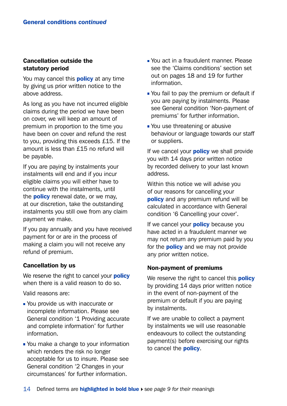#### Cancellation outside the statutory period

You may cancel this **policy** at any time by giving us prior written notice to the above address.

As long as you have not incurred eligible claims during the period we have been on cover, we will keep an amount of premium in proportion to the time you have been on cover and refund the rest to you, providing this exceeds £15. If the amount is less than £15 no refund will be payable.

If you are paying by instalments your instalments will end and if you incur eligible claims you will either have to continue with the instalments, until the **policy** renewal date, or we may, at our discretion, take the outstanding instalments you still owe from any claim payment we make.

If you pay annually and you have received payment for or are in the process of making a claim you will not receive any refund of premium.

#### Cancellation by us

We reserve the right to cancel your **policy** when there is a valid reason to do so.

Valid reasons are:

- You provide us with inaccurate or incomplete information. Please see General condition '1 Providing accurate and complete information' for further information.
- You make a change to your information which renders the risk no longer acceptable for us to insure. Please see General condition '2 Changes in your circumstances' for further information.
- **Nou act in a fraudulent manner. Please** see the 'Claims conditions' section set out on pages 18 and 19 for further information.
- You fail to pay the premium or default if you are paying by instalments. Please see General condition 'Non-payment of premiums' for further information.
- You use threatening or abusive behaviour or language towards our staff or suppliers.

If we cancel your **policy** we shall provide you with 14 days prior written notice by recorded delivery to your last known address.

Within this notice we will advise you of our reasons for cancelling your policy and any premium refund will be calculated in accordance with General condition '6 Cancelling your cover'.

If we cancel your **policy** because you have acted in a fraudulent manner we may not return any premium paid by you for the **policy** and we may not provide any prior written notice.

#### Non-payment of premiums

We reserve the right to cancel this **policy** by providing 14 days prior written notice in the event of non-payment of the premium or default if you are paying by instalments.

If we are unable to collect a payment by instalments we will use reasonable endeavours to collect the outstanding payment(s) before exercising our rights to cancel the **policy**.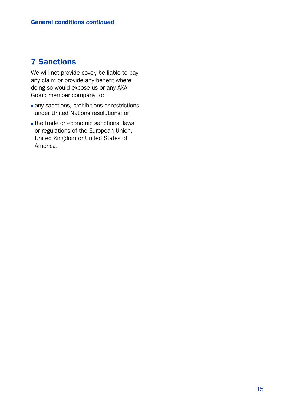# 7 Sanctions

We will not provide cover, be liable to pay any claim or provide any benefit where doing so would expose us or any AXA Group member company to:

- any sanctions, prohibitions or restrictions under United Nations resolutions; or
- the trade or economic sanctions, laws or regulations of the European Union, United Kingdom or United States of America.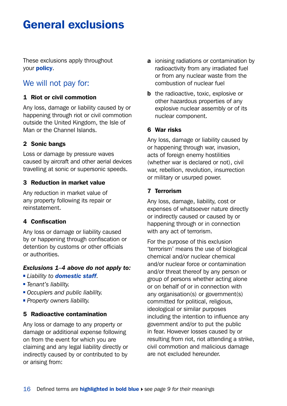# General exclusions

These exclusions apply throughout your policy.

# We will not pay for:

#### 1 Riot or civil commotion

Any loss, damage or liability caused by or happening through riot or civil commotion outside the United Kingdom, the Isle of Man or the Channel Islands.

#### 2 Sonic bangs

Loss or damage by pressure waves caused by aircraft and other aerial devices travelling at sonic or supersonic speeds.

#### 3 Reduction in market value

Any reduction in market value of any property following its repair or reinstatement.

#### 4 Confiscation

Any loss or damage or liability caused by or happening through confiscation or detention by customs or other officials or authorities.

#### *Exclusions 1–4 above do not apply to:*

- *Liability to domestic staff.*
- *Tenant's liability.*
- *Occupiers and public liability.*
- *Property owners liability.*

#### 5 Radioactive contamination

Any loss or damage to any property or damage or additional expense following on from the event for which you are claiming and any legal liability directly or indirectly caused by or contributed to by or arising from:

- **a** ionising radiations or contamination by radioactivity from any irradiated fuel or from any nuclear waste from the combustion of nuclear fuel
- **b** the radioactive, toxic, explosive or other hazardous properties of any explosive nuclear assembly or of its nuclear component.

#### 6 War risks

Any loss, damage or liability caused by or happening through war, invasion. acts of foreign enemy hostilities (whether war is declared or not), civil war, rebellion, revolution, insurrection or military or usurped power.

#### 7 Terrorism

Any loss, damage, liability, cost or expenses of whatsoever nature directly or indirectly caused or caused by or happening through or in connection with any act of terrorism.

For the purpose of this exclusion 'terrorism' means the use of biological chemical and/or nuclear chemical and/or nuclear force or contamination and/or threat thereof by any person or group of persons whether acting alone or on behalf of or in connection with any organisation(s) or government(s) committed for political, religious, ideological or similar purposes including the intention to influence any government and/or to put the public in fear. However losses caused by or resulting from riot, riot attending a strike, civil commotion and malicious damage are not excluded hereunder.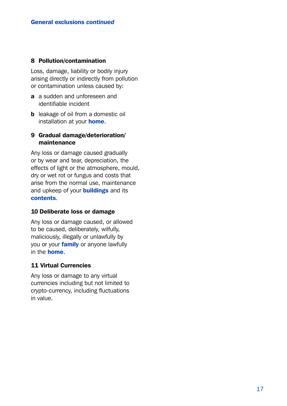#### 8 Pollution/contamination

Loss, damage, liability or bodily injury arising directly or indirectly from pollution or contamination unless caused by:

- a a sudden and unforeseen and identifiable incident
- **b** leakage of oil from a domestic oil installation at your **home**.

#### 9 Gradual damage/deterioration/ maintenance

Any loss or damage caused gradually or by wear and tear, depreciation, the effects of light or the atmosphere, mould, dry or wet rot or fungus and costs that arise from the normal use, maintenance and upkeep of your **buildings** and its contents.

#### 10 Deliberate loss or damage

Any loss or damage caused, or allowed to be caused, deliberately, wilfully, maliciously, illegally or unlawfully by you or your **family** or anyone lawfully in the home.

#### 11 Virtual Currencies

Any loss or damage to any virtual currencies including but not limited to crypto-currency, including fluctuations in value.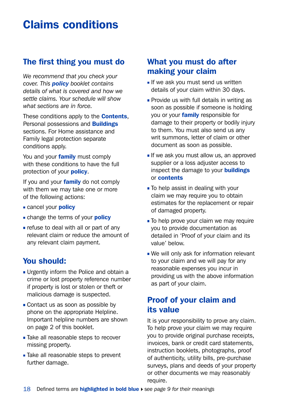# Claims conditions

# The first thing you must do

*We recommend that you check your cover. This policy booklet contains details of what is covered and how we settle claims. Your schedule will show what sections are in force.*

These conditions apply to the **Contents**. Personal possessions and Buildings sections. For Home assistance and Family legal protection separate conditions apply.

You and your **family** must comply with these conditions to have the full protection of your **policy**.

If you and your **family** do not comply with them we may take one or more of the following actions:

- cancel your **policy**
- change the terms of your **policy**
- refuse to deal with all or part of any relevant claim or reduce the amount of any relevant claim payment.

# You should:

- **Urgently inform the Police and obtain a** crime or lost property reference number if property is lost or stolen or theft or malicious damage is suspected.
- **Contact us as soon as possible by** phone on the appropriate Helpline. Important helpline numbers are shown on page 2 of this booklet.
- **Take all reasonable steps to recover** missing property.
- Take all reasonable steps to prevent further damage.

# What you must do after making your claim

- $\blacksquare$  If we ask you must send us written details of your claim within 30 days.
- $\blacksquare$  Provide us with full details in writing as soon as possible if someone is holding you or your **family** responsible for damage to their property or bodily injury to them. You must also send us any writ summons, letter of claim or other document as soon as possible.
- $\blacksquare$  If we ask you must allow us, an approved supplier or a loss adiuster access to inspect the damage to your **buildings** or contents
- To help assist in dealing with your claim we may require you to obtain estimates for the replacement or repair of damaged property.
- To help prove your claim we may require you to provide documentation as detailed in 'Proof of your claim and its value' below.
- We will only ask for information relevant to your claim and we will pay for any reasonable expenses you incur in providing us with the above information as part of your claim.

# Proof of your claim and its value

It is your responsibility to prove any claim. To help prove your claim we may require you to provide original purchase receipts, invoices, bank or credit card statements, instruction booklets, photographs, proof of authenticity, utility bills, pre-purchase surveys, plans and deeds of your property or other documents we may reasonably require.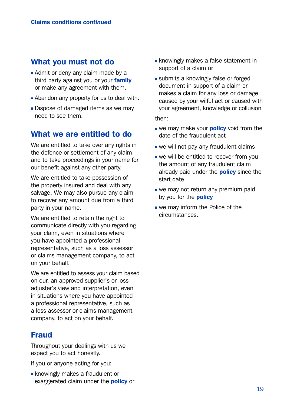## What you must not do

- Admit or deny any claim made by a third party against you or your family or make any agreement with them.
- Abandon any property for us to deal with.
- Dispose of damaged items as we may need to see them.

### What we are entitled to do

We are entitled to take over any rights in the defence or settlement of any claim and to take proceedings in your name for our benefit against any other party.

We are entitled to take possession of the property insured and deal with any salvage. We may also pursue any claim to recover any amount due from a third party in your name.

We are entitled to retain the right to communicate directly with you regarding your claim, even in situations where you have appointed a professional representative, such as a loss assessor or claims management company, to act on your behalf.

We are entitled to assess your claim based on our, an approved supplier's or loss adiuster's view and interpretation, even in situations where you have appointed a professional representative, such as a loss assessor or claims management company, to act on your behalf.

## Fraud

Throughout your dealings with us we expect you to act honestly.

If you or anyone acting for you:

**knowingly makes a fraudulent or** exaggerated claim under the **policy** or

- **knowingly makes a false statement in** support of a claim or
- submits a knowingly false or forged document in support of a claim or makes a claim for any loss or damage caused by your wilful act or caused with your agreement, knowledge or collusion

then:

- we may make your **policy** void from the date of the fraudulent act
- we will not pay any fraudulent claims
- **we will be entitled to recover from you** the amount of any fraudulent claim already paid under the **policy** since the start date
- we may not return any premium paid by you for the **policy**
- we may inform the Police of the circumstances.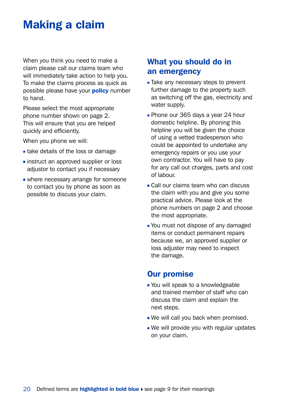# Making a claim

When you think you need to make a claim please call our claims team who will immediately take action to help you. To make the claims process as quick as possible please have your **policy** number to hand.

Please select the most appropriate phone number shown on page 2. This will ensure that you are helped quickly and efficiently.

When you phone we will:

- **take details of the loss or damage**
- **instruct an approved supplier or loss** adjustor to contact you if necessary
- where necessary arrange for someone to contact you by phone as soon as possible to discuss your claim.

# What you should do in an emergency

- Take any necessary steps to prevent further damage to the property such as switching off the gas, electricity and water supply.
- **Phone our 365 days a year 24 hour** domestic helpline. By phoning this helpline you will be given the choice of using a vetted tradesperson who could be appointed to undertake any emergency repairs or you use your own contractor. You will have to pay for any call out charges, parts and cost of labour.
- Call our claims team who can discuss the claim with you and give you some practical advice. Please look at the phone numbers on page 2 and choose the most appropriate.
- You must not dispose of any damaged items or conduct permanent repairs because we, an approved supplier or loss adjuster may need to inspect the damage.

## Our promise

- You will speak to a knowledgeable and trained member of staff who can discuss the claim and explain the next steps.
- We will call you back when promised.
- We will provide you with regular updates on your claim.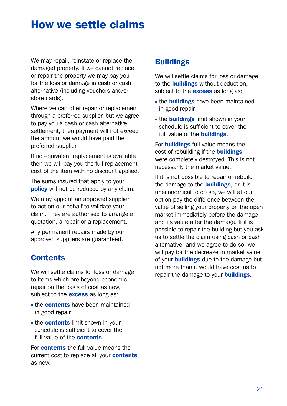# How we settle claims

We may repair, reinstate or replace the damaged property. If we cannot replace or repair the property we may pay you for the loss or damage in cash or cash alternative (including vouchers and/or store cards).

Where we can offer repair or replacement through a preferred supplier, but we agree to pay you a cash or cash alternative settlement, then payment will not exceed the amount we would have paid the preferred supplier.

If no equivalent replacement is available then we will pay you the full replacement cost of the item with no discount applied.

The sums insured that apply to your **policy** will not be reduced by any claim.

We may appoint an approved supplier to act on our behalf to validate your claim. They are authorised to arrange a quotation, a repair or a replacement.

Any permanent repairs made by our approved suppliers are guaranteed.

# **Contents**

We will settle claims for loss or damage to items which are beyond economic repair on the basis of cost as new, subject to the **excess** as long as:

- **the contents have been maintained** in good repair
- **the contents limit shown in your** schedule is sufficient to cover the full value of the **contents**.

For contents the full value means the current cost to replace all your **contents** as new.

# **Buildings**

We will settle claims for loss or damage to the **buildings** without deduction. subject to the **excess** as long as:

- the **buildings** have been maintained in good repair
- the **buildings** limit shown in your schedule is sufficient to cover the full value of the **buildings**.

For **buildings** full value means the cost of rebuilding if the **buildings** were completely destroyed. This is not necessarily the market value.

If it is not possible to repair or rebuild the damage to the **buildings**, or it is uneconomical to do so, we will at our option pay the difference between the value of selling your property on the open market immediately before the damage and its value after the damage. If it is possible to repair the building but you ask us to settle the claim using cash or cash alternative, and we agree to do so, we will pay for the decrease in market value of your **buildings** due to the damage but not more than it would have cost us to repair the damage to your **buildings**.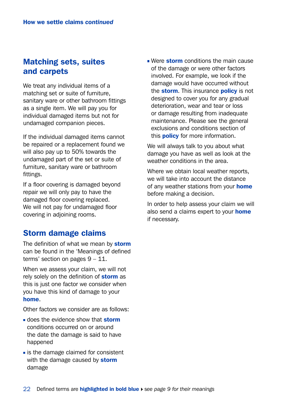# Matching sets, suites and carpets

We treat any individual items of a matching set or suite of furniture, sanitary ware or other bathroom fittings as a single item. We will pay you for individual damaged items but not for undamaged companion pieces.

If the individual damaged items cannot be repaired or a replacement found we will also pay up to 50% towards the undamaged part of the set or suite of furniture, sanitary ware or bathroom fittings.

If a floor covering is damaged beyond repair we will only pay to have the damaged floor covering replaced. We will not pay for undamaged floor covering in adjoining rooms.

## Storm damage claims

The definition of what we mean by storm can be found in the 'Meanings of defined terms' section on pages 9 – 11.

When we assess your claim, we will not rely solely on the definition of **storm** as this is just one factor we consider when you have this kind of damage to your home.

Other factors we consider are as follows:

- does the evidence show that **storm** conditions occurred on or around the date the damage is said to have happened
- $\blacksquare$  is the damage claimed for consistent with the damage caused by storm damage

Were storm conditions the main cause of the damage or were other factors involved. For example, we look if the damage would have occurred without the **storm**. This insurance **policy** is not designed to cover you for any gradual deterioration, wear and tear or loss or damage resulting from inadequate maintenance. Please see the general exclusions and conditions section of this **policy** for more information.

We will always talk to you about what damage you have as well as look at the weather conditions in the area.

Where we obtain local weather reports. we will take into account the distance of any weather stations from your **home** before making a decision.

In order to help assess your claim we will also send a claims expert to your **home** if necessary.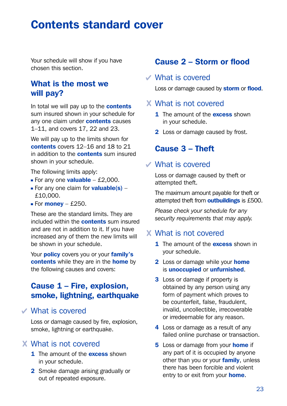# Contents standard cover

Your schedule will show if you have chosen this section.

# What is the most we will pay?

In total we will pay up to the **contents** sum insured shown in your schedule for any one claim under **contents** causes 1–11, and covers 17, 22 and 23.

We will pay up to the limits shown for contents covers 12–16 and 18 to 21 in addition to the **contents** sum insured shown in your schedule.

The following limits apply:

- For any one **valuable**  $£2,000$ .
- For any one claim for **valuable(s)** £10,000.
- For **money** £250.

These are the standard limits. They are included within the **contents** sum insured and are not in addition to it. If you have increased any of them the new limits will be shown in your schedule.

Your **policy** covers you or your **family's** contents while they are in the home by the following causes and covers:

# Cause 1 – Fire, explosion, smoke, lightning, earthquake

What is covered

Loss or damage caused by fire, explosion, smoke, lightning or earthquake.

## What is not covered

- 1 The amount of the **excess** shown in your schedule.
- 2 Smoke damage arising gradually or out of repeated exposure.

# Cause 2 – Storm or flood

#### What is covered

Loss or damage caused by storm or flood.

### What is not covered

- **1** The amount of the **excess** shown in your schedule.
- 2 Loss or damage caused by frost.

## Cause 3 – Theft

#### What is covered

Loss or damage caused by theft or attempted theft.

The maximum amount payable for theft or attempted theft from **outbuildings** is £500.

*Please check your schedule for any security requirements that may apply.*

## What is not covered

- **1** The amount of the **excess** shown in your schedule.
- 2 Loss or damage while your home is unoccupied or unfurnished.
- **3** Loss or damage if property is obtained by any person using any form of payment which proves to be counterfeit, false, fraudulent, invalid, uncollectible, irrecoverable or irredeemable for any reason.
- 4 Loss or damage as a result of any failed online purchase or transaction.
- **5** Loss or damage from your **home** if any part of it is occupied by anyone other than you or your family, unless there has been forcible and violent entry to or exit from your **home**.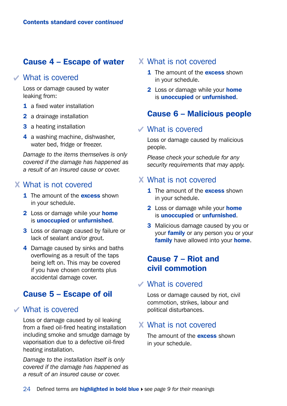# Cause 4 – Escape of water

#### What is covered

Loss or damage caused by water leaking from:

- 1 a fixed water installation
- 2 a drainage installation
- 3 a heating installation
- 4 a washing machine, dishwasher, water bed, fridge or freezer.

*Damage to the items themselves is only covered if the damage has happened as a result of an insured cause or cover.*

#### What is not covered

- 1 The amount of the **excess** shown in your schedule.
- 2 Loss or damage while your home is unoccupied or unfurnished.
- **3** Loss or damage caused by failure or lack of sealant and/or grout.
- 4 Damage caused by sinks and baths overflowing as a result of the taps being left on. This may be covered if you have chosen contents plus accidental damage cover.

## Cause 5 – Escape of oil

#### What is covered

Loss or damage caused by oil leaking from a fixed oil-fired heating installation including smoke and smudge damage by vaporisation due to a defective oil-fired heating installation.

*Damage to the installation itself is only covered if the damage has happened as a result of an insured cause or cover.*

#### What is not covered

- **1** The amount of the **excess** shown in your schedule.
- **2** Loss or damage while your **home** is unoccupied or unfurnished.

## Cause 6 – Malicious people

## What is covered

Loss or damage caused by malicious people.

*Please check your schedule for any security requirements that may apply.*

#### What is not covered

- 1 The amount of the **excess** shown in your schedule.
- **2** Loss or damage while your **home** is unoccupied or unfurnished.
- **3** Malicious damage caused by you or your **family** or any person you or your family have allowed into your home.

# Cause 7 – Riot and civil commotion

#### What is covered

Loss or damage caused by riot, civil commotion, strikes, labour and political disturbances.

## What is not covered

The amount of the **excess** shown in your schedule.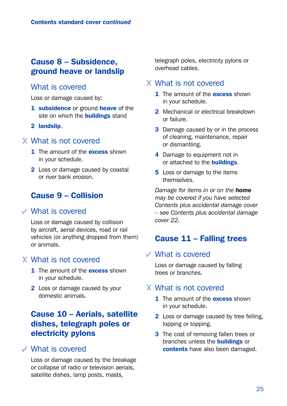# Cause 8 – Subsidence, ground heave or landslip

#### What is covered

Loss or damage caused by:

- 1 subsidence or ground heave of the site on which the **buildings** stand
- 2 landslip.

#### What is not covered

- 1 The amount of the **excess** shown in your schedule.
- 2 Loss or damage caused by coastal or river bank erosion.

# Cause 9 – Collision

#### What is covered

Loss or damage caused by collision by aircraft, aerial devices, road or rail vehicles (or anything dropped from them) or animals.

#### What is not covered

- 1 The amount of the **excess** shown in your schedule.
- 2 Loss or damage caused by your domestic animals.

# Cause 10 – Aerials, satellite dishes, telegraph poles or electricity pylons

## What is covered

Loss or damage caused by the breakage or collapse of radio or television aerials, satellite dishes, lamp posts, masts,

telegraph poles, electricity pylons or overhead cables.

## What is not covered

- 1 The amount of the **excess** shown in your schedule.
- 2 Mechanical or electrical breakdown or failure.
- **3** Damage caused by or in the process of cleaning, maintenance, repair or dismantling.
- 4 Damage to equipment not in or attached to the **buildings**.
- **5** Loss or damage to the items themselves.

*Damage for items in or on the home may be covered if you have selected Contents plus accidental damage cover – see Contents plus accidental damage cover 22.*

## Cause 11 – Falling trees

#### What is covered

Loss or damage caused by falling trees or branches.

## What is not covered

- 1 The amount of the **excess** shown in your schedule.
- 2 Loss or damage caused by tree felling, lopping or topping.
- 3 The cost of removing fallen trees or branches unless the **buildings** or contents have also been damaged.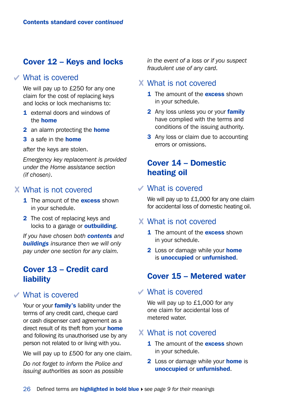# Cover 12 – Keys and locks

#### What is covered

We will pay up to £250 for any one claim for the cost of replacing keys and locks or lock mechanisms to:

- 1 external doors and windows of the home
- 2 an alarm protecting the **home**
- 3 a safe in the home

after the keys are stolen.

*Emergency key replacement is provided under the Home assistance section (if chosen).*

### What is not covered

- 1 The amount of the **excess** shown in your schedule.
- 2 The cost of replacing keys and locks to a garage or **outbuilding**.

*If you have chosen both contents and buildings insurance then we will only pay under one section for any claim.*

# Cover 13 – Credit card liability

## What is covered

Your or your family's liability under the terms of any credit card, cheque card or cash dispenser card agreement as a direct result of its theft from your **home** and following its unauthorised use by any person not related to or living with you.

We will pay up to £500 for any one claim.

*Do not forget to inform the Police and issuing authorities as soon as possible*  *in the event of a loss or if you suspect fraudulent use of any card.* 

#### What is not covered

- 1 The amount of the **excess** shown in your schedule.
- **2** Any loss unless you or your **family** have complied with the terms and conditions of the issuing authority.
- **3** Any loss or claim due to accounting errors or omissions.

# Cover 14 – Domestic heating oil

### What is covered

We will pay up to £1,000 for any one claim for accidental loss of domestic heating oil.

#### What is not covered

- **1** The amount of the **excess** shown in your schedule.
- 2 Loss or damage while your **home** is unoccupied or unfurnished.

## Cover 15 – Metered water

#### What is covered

We will pay up to £1,000 for any one claim for accidental loss of metered water.

#### What is not covered

- 1 The amount of the **excess** shown in your schedule.
- **2** Loss or damage while your **home** is unoccupied or unfurnished.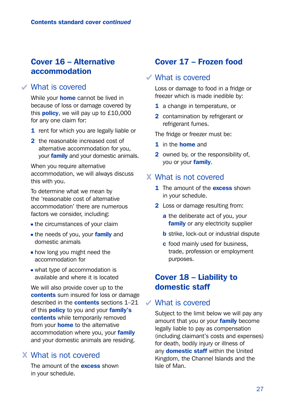# Cover 16 – Alternative accommodation

### What is covered

While your **home** cannot be lived in because of loss or damage covered by this **policy**, we will pay up to  $£10,000$ for any one claim for:

- 1 rent for which you are legally liable or
- 2 the reasonable increased cost of alternative accommodation for you, your **family** and your domestic animals.

When you require alternative accommodation, we will always discuss this with you.

To determine what we mean by the 'reasonable cost of alternative accommodation' there are numerous factors we consider, including:

- the circumstances of your claim
- the needs of you, your family and domestic animals
- **how long you might need the** accommodation for
- what type of accommodation is available and where it is located

We will also provide cover up to the contents sum insured for loss or damage described in the **contents** sections 1-21 of this **policy** to you and your **family's** contents while temporarily removed from your **home** to the alternative accommodation where you, your family and your domestic animals are residing.

## What is not covered

The amount of the **excess** shown in your schedule.

# Cover 17 – Frozen food

#### What is covered

Loss or damage to food in a fridge or freezer which is made inedible by:

- 1 a change in temperature, or
- 2 contamination by refrigerant or refrigerant fumes.

The fridge or freezer must be:

- 1 in the **home** and
- 2 owned by, or the responsibility of. you or your family.

## What is not covered

- 1 The amount of the **excess** shown in your schedule.
- 2 Loss or damage resulting from:
	- a the deliberate act of you, your family or any electricity supplier
	- **b** strike, lock-out or industrial dispute
	- c food mainly used for business, trade, profession or employment purposes.

## Cover 18 – Liability to domestic staff

#### What is covered

Subject to the limit below we will pay any amount that you or your family become legally liable to pay as compensation (including claimant's costs and expenses) for death, bodily injury or illness of any **domestic staff** within the United Kingdom, the Channel Islands and the Isle of Man.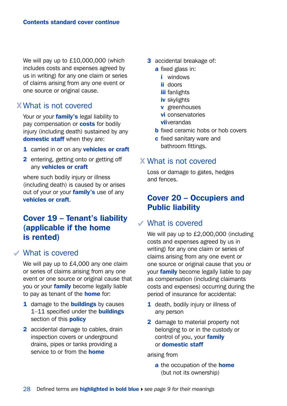We will pay up to £10,000,000 (which includes costs and expenses agreed by us in writing) for any one claim or series of claims arising from any one event or one source or original cause.

## What is not covered

Your or your *family's* legal liability to pay compensation or **costs** for bodily injury (including death) sustained by any domestic staff when they are:

- 1 carried in or on any vehicles or craft
- 2 entering, getting onto or getting off any vehicles or craft

where such bodily injury or illness (including death) is caused by or arises out of your or your **family's** use of any vehicles or craft.

# Cover 19 – Tenant's liability (applicable if the home is rented)

## What is covered

We will pay up to £4,000 any one claim or series of claims arising from any one event or one source or original cause that you or your family become legally liable to pay as tenant of the **home** for:

- 1 damage to the **buildings** by causes 1–11 specified under the **buildings** section of this **policy**
- 2 accidental damage to cables, drain inspection covers or underground drains, pipes or tanks providing a service to or from the **home**
- 3 accidental breakage of:
	- a fixed glass in:
		- i windows
		- ii doors
		- **iii** fanlights
		- iv skylights
		- v greenhouses
		- vi conservatories
		- **vii**verandas
	- **b** fixed ceramic hobs or hob covers
	- c fixed sanitary ware and bathroom fittings.

## What is not covered

Loss or damage to gates, hedges and fences.

# Cover 20 – Occupiers and Public liability

#### What is covered

We will pay up to £2,000,000 (including costs and expenses agreed by us in writing) for any one claim or series of claims arising from any one event or one source or original cause that you or your **family** become legally liable to pay as compensation (including claimants costs and expenses) occurring during the period of insurance for accidental:

- 1 death, bodily injury or illness of any person
- 2 damage to material property not belonging to or in the custody or control of you, your family or domestic staff

arising from

a the occupation of the **home** (but not its ownership)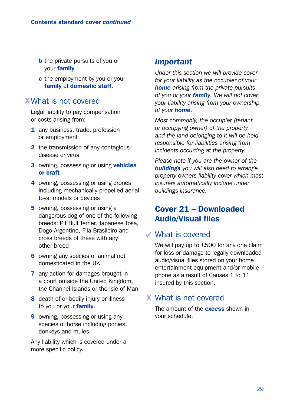- **b** the private pursuits of you or your family
- c the employment by you or your family of domestic staff.

## What is not covered

Legal liability to pay compensation or costs arising from:

- 1 any business, trade, profession or employment
- 2 the transmission of any contagious disease or virus
- 3 owning, possessing or using **vehicles** or craft
- 4 owning, possessing or using drones including mechanically propelled aerial toys, models or devices
- 5 owning, possessing or using a dangerous dog of one of the following breeds: Pit Bull Terrier, Japanese Tosa, Dogo Argentino, Fila Brasileiro and cross breeds of these with any other breed
- 6 owning any species of animal not domesticated in the UK
- 7 any action for damages brought in a court outside the United Kingdom, the Channel Islands or the Isle of Man
- 8 death of or bodily injury or illness to you or your **family**.
- **9** owning, possessing or using any species of horse including ponies, donkeys and mules.

Any liability which is covered under a more specific policy.

## *Important*

*Under this section we will provide cover for your liability as the occupier of your home arising from the private pursuits of you or your family. We will not cover your liability arising from your ownership of your home.*

*Most commonly, the occupier (tenant or occupying owner) of the property and the land belonging to it will be held responsible for liabilities arising from incidents occurring at the property.*

*Please note if you are the owner of the buildings you will also need to arrange property owners liability cover which most insurers automatically include under buildings insurance.*

# Cover 21 – Downloaded Audio/Visual files

## What is covered

We will pay up to £500 for any one claim for loss or damage to legally downloaded audio/visual files stored on your home entertainment equipment and/or mobile phone as a result of Causes 1 to 11 insured by this section.

## What is not covered

The amount of the **excess** shown in your schedule.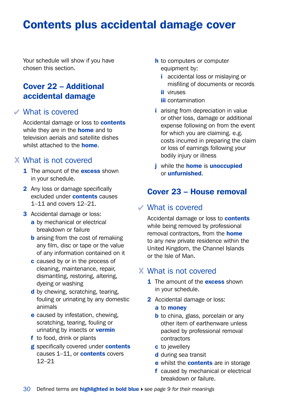# Contents plus accidental damage cover

Your schedule will show if you have chosen this section.

# Cover 22 – Additional accidental damage

### What is covered

Accidental damage or loss to **contents** while they are in the **home** and to television aerials and satellite dishes whilst attached to the **home** 

## What is not covered

- **1** The amount of the **excess** shown in your schedule.
- 2 Any loss or damage specifically excluded under contents causes 1–11 and covers 12–21.
- **3** Accidental damage or loss:
	- a by mechanical or electrical breakdown or failure
	- **b** arising from the cost of remaking any film, disc or tape or the value of any information contained on it
	- c caused by or in the process of cleaning, maintenance, repair, dismantling, restoring, altering, dyeing or washing
	- d by chewing, scratching, tearing, fouling or urinating by any domestic animals
	- e caused by infestation, chewing, scratching, tearing, fouling or urinating by insects or **vermin**
	- f to food, drink or plants
	- g specifically covered under contents causes 1–11, or **contents** covers 12–21
- **h** to computers or computer equipment by:
	- **i** accidental loss or mislaving or misfiling of documents or records
	- ii viruses
	- **iii** contamination
- i arising from depreciation in value or other loss, damage or additional expense following on from the event for which you are claiming. e.g. costs incurred in preparing the claim or loss of earnings following your bodily injury or illness
- *j* while the **home** is **unoccupied** or unfurnished.

# Cover 23 – House removal

#### What is covered

Accidental damage or loss to **contents** while being removed by professional removal contractors, from the **home** to any new private residence within the United Kingdom, the Channel Islands or the Isle of Man.

## What is not covered

- 1 The amount of the **excess** shown in your schedule.
- 2 Accidental damage or loss:
	- a to money
	- **b** to china, glass, porcelain or any other item of earthenware unless packed by professional removal contractors
	- c to jewellery
	- d during sea transit
	- e whilst the **contents** are in storage
	- f caused by mechanical or electrical breakdown or failure.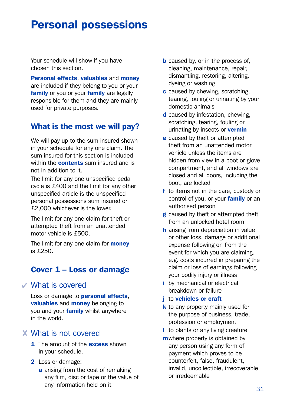# Personal possessions

Your schedule will show if you have chosen this section.

Personal effects, valuables and money are included if they belong to you or your family or you or your family are legally responsible for them and they are mainly used for private purposes.

# What is the most we will pay?

We will pay up to the sum insured shown in your schedule for any one claim. The sum insured for this section is included within the **contents** sum insured and is not in addition to it.

The limit for any one unspecified pedal cycle is £400 and the limit for any other unspecified article is the unspecified personal possessions sum insured or £2,000 whichever is the lower.

The limit for any one claim for theft or attempted theft from an unattended motor vehicle is £500.

The limit for any one claim for **money** is £250.

# Cover 1 – Loss or damage

## What is covered

Loss or damage to **personal effects**, valuables and money belonging to you and your **family** whilst anywhere in the world.

## What is not covered

- 1 The amount of the **excess** shown in your schedule.
- 2 Loss or damage:
	- a arising from the cost of remaking any film, disc or tape or the value of any information held on it
- **b** caused by, or in the process of, cleaning, maintenance, repair, dismantling, restoring, altering, dyeing or washing
- c caused by chewing, scratching, tearing, fouling or urinating by your domestic animals
- d caused by infestation, chewing, scratching, tearing, fouling or urinating by insects or **vermin**
- e caused by theft or attempted theft from an unattended motor vehicle unless the items are hidden from view in a boot or glove compartment, and all windows are closed and all doors, including the boot, are locked
- f to items not in the care, custody or control of you, or your family or an authorised person
- g caused by theft or attempted theft from an unlocked hotel room
- **h** arising from depreciation in value or other loss, damage or additional expense following on from the event for which you are claiming. e.g. costs incurred in preparing the claim or loss of earnings following your bodily injury or illness
- i by mechanical or electrical breakdown or failure

#### i to vehicles or craft

- k to any property mainly used for the purpose of business, trade, profession or employment
- l to plants or any living creature
- m where property is obtained by any person using any form of payment which proves to be counterfeit, false, fraudulent, invalid, uncollectible, irrecoverable or irredeemable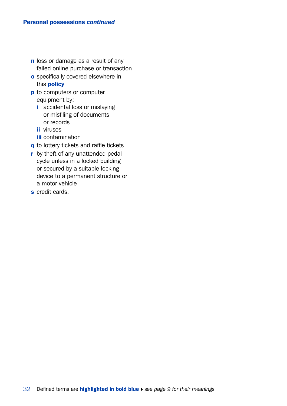- n loss or damage as a result of any failed online purchase or transaction
- o specifically covered elsewhere in this policy
- **p** to computers or computer equipment by:
	- i accidental loss or mislaying or misfiling of documents or records
	- ii viruses
	- **iii** contamination
- q to lottery tickets and raffle tickets
- **r** by theft of any unattended pedal cycle unless in a locked building or secured by a suitable locking device to a permanent structure or a motor vehicle
- s credit cards.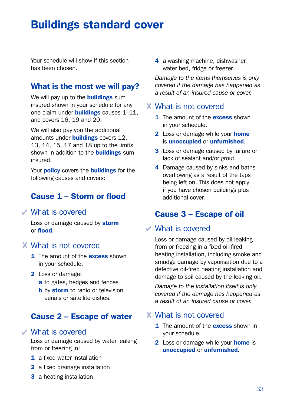# Buildings standard cover

Your schedule will show if this section has been chosen.

# What is the most we will pay?

We will pay up to the **buildings** sum insured shown in your schedule for any one claim under **buildings** causes 1-11, and covers 16, 19 and 20.

We will also pay you the additional amounts under **buildings** covers 12. 13, 14, 15, 17 and 18 up to the limits shown in addition to the **buildings** sum insured.

Your **policy** covers the **buildings** for the following causes and covers:

# Cause 1 – Storm or flood

## What is covered

Loss or damage caused by storm or flood.

## What is not covered

- 1 The amount of the **excess** shown in your schedule.
- 2 Loss or damage:
	- a to gates, hedges and fences
	- **b** by storm to radio or television aerials or satellite dishes.

# Cause 2 – Escape of water

### What is covered

Loss or damage caused by water leaking from or freezing in:

- 1 a fixed water installation
- 2 a fixed drainage installation
- **3** a heating installation

4 a washing machine, dishwasher, water bed, fridge or freezer.

*Damage to the items themselves is only covered if the damage has happened as a result of an insured cause or cover.*

### What is not covered

- 1 The amount of the **excess** shown in your schedule.
- 2 Loss or damage while your home is unoccupied or unfurnished.
- **3** Loss or damage caused by failure or lack of sealant and/or grout
- 4 Damage caused by sinks and baths overflowing as a result of the taps being left on. This does not apply if you have chosen buildings plus additional cover.

# Cause 3 – Escape of oil

## What is covered

Loss or damage caused by oil leaking from or freezing in a fixed oil-fired heating installation, including smoke and smudge damage by vaporisation due to a defective oil-fired heating installation and damage to soil caused by the leaking oil.

*Damage to the installation itself is only covered if the damage has happened as a result of an insured cause or cover.*

## What is not covered

- 1 The amount of the **excess** shown in your schedule.
- **2** Loss or damage while your **home** is unoccupied or unfurnished.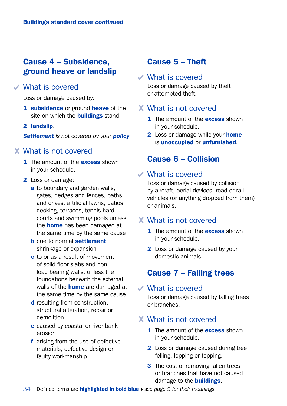# Cause 4 – Subsidence, ground heave or landslip

#### What is covered

Loss or damage caused by:

- 1 subsidence or ground heave of the site on which the **buildings** stand
- 2 landslip.

*Settlement is not covered by your policy.*

### What is not covered

- 1 The amount of the **excess** shown in your schedule.
- 2 Loss or damage:
	- a to boundary and garden walls, gates, hedges and fences, paths and drives, artificial lawns, patios, decking, terraces, tennis hard courts and swimming pools unless the **home** has been damaged at the same time by the same cause
	- **b** due to normal **settlement**. shrinkage or expansion
	- c to or as a result of movement of solid floor slabs and non load bearing walls, unless the foundations beneath the external walls of the **home** are damaged at the same time by the same cause
	- d resulting from construction, structural alteration, repair or demolition
	- e caused by coastal or river bank erosion
	- f arising from the use of defective materials, defective design or faulty workmanship.

# Cause 5 – Theft

#### What is covered

Loss or damage caused by theft or attempted theft.

### What is not covered

- 1 The amount of the **excess** shown in your schedule.
- **2** Loss or damage while your **home** is unoccupied or unfurnished.

# Cause 6 – Collision

#### What is covered

Loss or damage caused by collision by aircraft, aerial devices, road or rail vehicles (or anything dropped from them) or animals.

### What is not covered

- 1 The amount of the **excess** shown in your schedule.
- 2 Loss or damage caused by your domestic animals.

# Cause 7 – Falling trees

#### What is covered

Loss or damage caused by falling trees or branches.

## What is not covered

- **1** The amount of the **excess** shown in your schedule.
- 2 Loss or damage caused during tree felling, lopping or topping.
- **3** The cost of removing fallen trees or branches that have not caused damage to the **buildings**.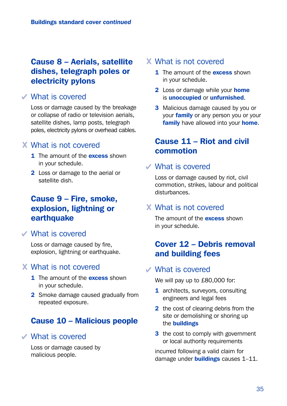# Cause 8 – Aerials, satellite dishes, telegraph poles or electricity pylons

## What is covered

Loss or damage caused by the breakage or collapse of radio or television aerials, satellite dishes, lamp posts, telegraph poles, electricity pylons or overhead cables.

### What is not covered

- 1 The amount of the **excess** shown in your schedule.
- 2 Loss or damage to the aerial or satellite dish.

# Cause 9 – Fire, smoke, explosion, lightning or earthquake

#### What is covered

Loss or damage caused by fire, explosion, lightning or earthquake.

## What is not covered

- **1** The amount of the **excess** shown in your schedule.
- 2 Smoke damage caused gradually from repeated exposure.

# Cause 10 – Malicious people

## What is covered

Loss or damage caused by malicious people.

### What is not covered

- 1 The amount of the **excess** shown in your schedule.
- 2 Loss or damage while your home is unoccupied or unfurnished.
- **3** Malicious damage caused by you or your **family** or any person you or your family have allowed into your home.

# Cause 11 – Riot and civil commotion

## What is covered

Loss or damage caused by riot, civil commotion, strikes, labour and political disturbances.

## What is not covered

The amount of the **excess** shown in your schedule.

# Cover 12 – Debris removal and building fees

### What is covered

We will pay up to £80,000 for:

- 1 architects, surveyors, consulting engineers and legal fees
- 2 the cost of clearing debris from the site or demolishing or shoring up the buildings
- **3** the cost to comply with government or local authority requirements

incurred following a valid claim for damage under **buildings** causes 1-11.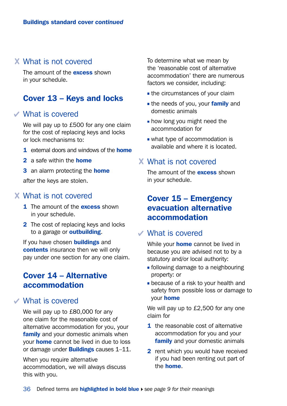## What is not covered

The amount of the **excess** shown in your schedule.

## Cover 13 – Keys and locks

### What is covered

We will pay up to £500 for any one claim for the cost of replacing keys and locks or lock mechanisms to:

- 1 external doors and windows of the **home**
- 2 a safe within the **home**
- 3 an alarm protecting the **home**

after the keys are stolen.

#### What is not covered

- 1 The amount of the **excess** shown in your schedule.
- 2 The cost of replacing keys and locks to a garage or **outbuilding**.

If you have chosen **buildings** and contents insurance then we will only pay under one section for any one claim.

# Cover 14 – Alternative accommodation

## What is covered

We will pay up to £80,000 for any one claim for the reasonable cost of alternative accommodation for you, your family and your domestic animals when your home cannot be lived in due to loss or damage under **Buildings** causes 1-11.

When you require alternative accommodation, we will always discuss this with you.

To determine what we mean by the 'reasonable cost of alternative accommodation' there are numerous factors we consider, including:

- **the circumstances of your claim**
- the needs of you, your **family** and domestic animals
- **how long you might need the** accommodation for
- what type of accommodation is available and where it is located.

#### What is not covered

The amount of the **excess** shown in your schedule.

# Cover 15 – Emergency evacuation alternative accommodation

#### What is covered

While your **home** cannot be lived in because you are advised not to by a statutory and/or local authority:

- **following damage to a neighbouring** property: or
- **because of a risk to your health and** safety from possible loss or damage to your home

We will pay up to £2,500 for any one claim for

- 1 the reasonable cost of alternative accommodation for you and your family and your domestic animals
- 2 rent which you would have received if you had been renting out part of the home.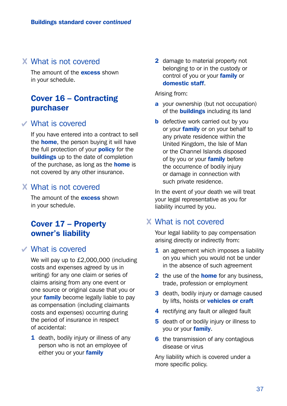## What is not covered

The amount of the **excess** shown in your schedule.

# Cover 16 – Contracting purchaser

#### What is covered

If you have entered into a contract to sell the **home**, the person buying it will have the full protection of your **policy** for the **buildings** up to the date of completion of the purchase, as long as the **home** is not covered by any other insurance.

## What is not covered

The amount of the **excess** shown in your schedule.

# Cover 17 – Property owner's liability

## What is covered

We will pay up to £2,000,000 (including costs and expenses agreed by us in writing) for any one claim or series of claims arising from any one event or one source or original cause that you or your **family** become legally liable to pay as compensation (including claimants costs and expenses) occurring during the period of insurance in respect of accidental:

1 death, bodily injury or illness of any person who is not an employee of either you or your family

2 damage to material property not belonging to or in the custody or control of you or your family or domestic staff.

Arising from:

- a your ownership (but not occupation) of the **buildings** including its land
- **b** defective work carried out by you or your **family** or on your behalf to any private residence within the United Kingdom, the Isle of Man or the Channel Islands disposed of by you or your **family** before the occurrence of bodily injury or damage in connection with such private residence.

In the event of your death we will treat your legal representative as you for liability incurred by you.

## What is not covered

Your legal liability to pay compensation arising directly or indirectly from:

- 1 an agreement which imposes a liability on you which you would not be under in the absence of such agreement
- 2 the use of the **home** for any business. trade, profession or employment
- 3 death, bodily injury or damage caused by lifts, hoists or vehicles or craft
- 4 rectifying any fault or alleged fault
- 5 death of or bodily injury or illness to you or your family.
- 6 the transmission of any contagious disease or virus

Any liability which is covered under a more specific policy.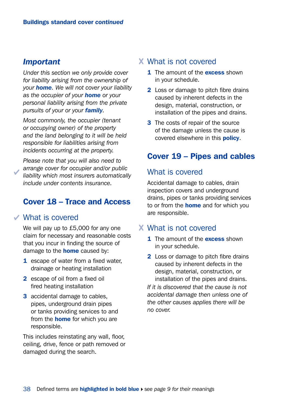#### *Important*

*Under this section we only provide cover for liability arising from the ownership of your home. We will not cover your liability as the occupier of your home or your personal liability arising from the private pursuits of your or your family.*

*Most commonly, the occupier (tenant or occupying owner) of the property and the land belonging to it will be held responsible for liabilities arising from incidents occurring at the property.*

*Please note that you will also need to arrange cover for occupier and/or public liability which most insurers automatically include under contents insurance.*

# Cover 18 – Trace and Access

#### What is covered

We will pay up to £5,000 for any one claim for necessary and reasonable costs that you incur in finding the source of damage to the **home** caused by:

- 1 escape of water from a fixed water. drainage or heating installation
- 2 escape of oil from a fixed oil fired heating installation
- 3 accidental damage to cables, pipes, underground drain pipes or tanks providing services to and from the **home** for which you are responsible.

This includes reinstating any wall, floor, ceiling, drive, fence or path removed or damaged during the search.

### What is not covered

- **1** The amount of the **excess** shown in your schedule.
- 2 Loss or damage to pitch fibre drains caused by inherent defects in the design, material, construction, or installation of the pipes and drains.
- **3** The costs of repair of the source of the damage unless the cause is covered elsewhere in this **policy**.

# Cover 19 – Pipes and cables

## What is covered

Accidental damage to cables, drain inspection covers and underground drains, pipes or tanks providing services to or from the **home** and for which you are responsible.

## What is not covered

- 1 The amount of the **excess** shown in your schedule.
- 2 Loss or damage to pitch fibre drains caused by inherent defects in the design, material, construction, or installation of the pipes and drains.

*If it is discovered that the cause is not accidental damage then unless one of the other causes applies there will be no cover.*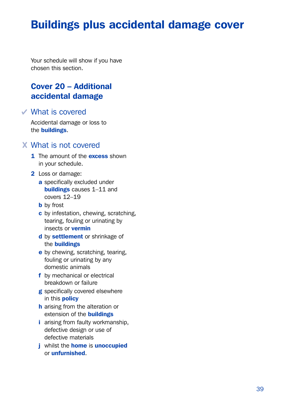# Buildings plus accidental damage cover

Your schedule will show if you have chosen this section.

# Cover 20 – Additional accidental damage

What is covered

Accidental damage or loss to the buildings.

### What is not covered

- 1 The amount of the **excess** shown in your schedule.
- 2 Loss or damage:
	- a specifically excluded under buildings causes 1–11 and covers 12–19
	- **b** by frost
	- c by infestation, chewing, scratching, tearing, fouling or urinating by insects or vermin
	- d by settlement or shrinkage of the buildings
	- e by chewing, scratching, tearing, fouling or urinating by any domestic animals
	- f by mechanical or electrical breakdown or failure
	- g specifically covered elsewhere in this policy
	- h arising from the alteration or extension of the **buildings**
	- i arising from faulty workmanship, defective design or use of defective materials
	- *j* whilst the **home** is **unoccupied** or unfurnished.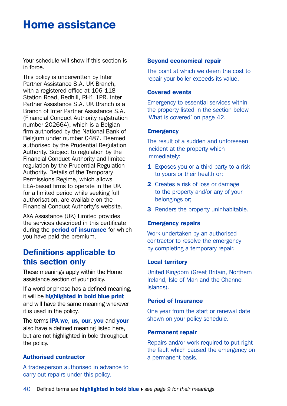# Home assistance

Your schedule will show if this section is in force.

This policy is underwritten by Inter Partner Assistance S.A. UK Branch, with a registered office at 106-118 Station Road, Redhill, RH1 1PR, Inter Partner Assistance S.A. UK Branch is a Branch of Inter Partner Assistance S.A. (Financial Conduct Authority registration number 202664), which is a Belgian firm authorised by the National Bank of Belgium under number 0487. Deemed authorised by the Prudential Regulation Authority. Subject to regulation by the Financial Conduct Authority and limited regulation by the Prudential Regulation Authority. Details of the Temporary Permissions Regime, which allows EEA-based firms to operate in the UK for a limited period while seeking full authorisation, are available on the Financial Conduct Authority's website.

AXA Assistance (UK) Limited provides the services described in this certificate during the **period of insurance** for which you have paid the premium.

## Definitions applicable to this section only

These meanings apply within the Home assistance section of your policy.

If a word or phrase has a defined meaning, it will be highlighted in bold blue print and will have the same meaning wherever it is used in the policy.

The terms **IPA we, us, our, you and your** also have a defined meaning listed here, but are not highlighted in bold throughout the policy.

#### Authorised contractor

A tradesperson authorised in advance to carry out repairs under this policy.

#### Beyond economical repair

The point at which we deem the cost to repair your boiler exceeds its value.

#### Covered events

Emergency to essential services within the property listed in the section below 'What is covered' on page 42.

#### **Emergency**

The result of a sudden and unforeseen incident at the property which immediately:

- **1** Exposes you or a third party to a risk to yours or their health or;
- 2 Creates a risk of loss or damage to the property and/or any of your belongings or;
- **3** Renders the property uninhabitable.

#### Emergency repairs

Work undertaken by an authorised contractor to resolve the emergency by completing a temporary repair.

#### Local territory

United Kingdom (Great Britain, Northern Ireland, Isle of Man and the Channel Islands).

#### Period of Insurance

One year from the start or renewal date shown on your policy schedule.

#### Permanent repair

Repairs and/or work required to put right the fault which caused the emergency on a permanent basis.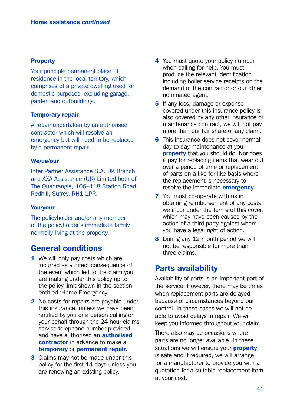#### **Property**

Your principle permanent place of residence in the local territory, which comprises of a private dwelling used for domestic purposes, excluding garage, garden and outbuildings.

#### Temporary repair

A repair undertaken by an authorised contractor which will resolve an emergency but will need to be replaced by a permanent repair.

#### We/us/our

Inter Partner Assistance S.A. UK Branch and AXA Assistance (UK) Limited both of The Quadrangle, 106–118 Station Road, Redhill, Surrey, RH1 1PR.

#### You/your

The policyholder and/or any member of the policyholder's immediate family normally living at the property.

## General conditions

- 1 We will only pay costs which are incurred as a direct consequence of the event which led to the claim you are making under this policy up to the policy limit shown in the section entitled 'Home Emergency'.
- 2 No costs for repairs are payable under this insurance, unless we have been notified by you or a person calling on your behalf through the 24 hour claims service telephone number provided and have authorised an authorised contractor in advance to make a temporary or permanent repair.
- **3** Claims may not be made under this policy for the first 14 days unless you are renewing an existing policy.
- 4 You must quote your policy number when calling for help. You must produce the relevant identification including boiler service receipts on the demand of the contractor or our other nominated agent.
- **5** If any loss, damage or expense covered under this insurance policy is also covered by any other insurance or maintenance contract, we will not pay more than our fair share of any claim.
- 6 This insurance does not cover normal day to day maintenance at your property that you should do. Nor does it pay for replacing items that wear out over a period of time or replacement of parts on a like for like basis where the replacement is necessary to resolve the immediate **emergency**.
- **7** You must co-operate with us in obtaining reimbursement of any costs we incur under the terms of this cover, which may have been caused by the action of a third party against whom you have a legal right of action.
- 8 During any 12 month period we will not be responsible for more than three claims.

## Parts availability

Availability of parts is an important part of the service. However, there may be times when replacement parts are delayed because of circumstances beyond our control. In these cases we will not be able to avoid delays in repair. We will keep you informed throughout your claim.

There also may be occasions where parts are no longer available. In these situations we will ensure your **property** is safe and if required, we will arrange for a manufacturer to provide you with a quotation for a suitable replacement item at your cost.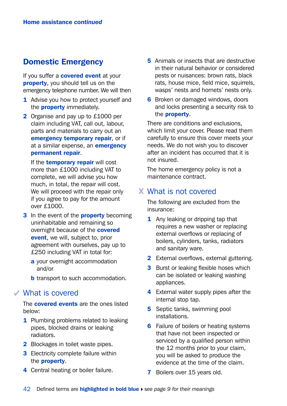# Domestic Emergency

If you suffer a **covered event** at your property, you should tell us on the emergency telephone number. We will then

- 1 Advise you how to protect yourself and the **property** immediately.
- 2 Organise and pay up to £1000 per claim including VAT, call out, labour, parts and materials to carry out an emergency temporary repair, or if at a similar expense, an **emergency** permanent repair.

If the **temporary repair** will cost more than £1000 including VAT to complete, we will advise you how much, in total, the repair will cost. We will proceed with the repair only if you agree to pay for the amount  $OVar f1000$ 

- 3 In the event of the **property** becoming uninhabitable and remaining so overnight because of the **covered** event, we will, subject to, prior agreement with ourselves, pay up to £250 including VAT in total for:
	- a your overnight accommodation and/or
	- **b** transport to such accommodation.

#### What is covered

The **covered events** are the ones listed below:

- 1 Plumbing problems related to leaking pipes, blocked drains or leaking radiators.
- 2 Blockages in toilet waste pipes.
- **3** Electricity complete failure within the property.
- 4 Central heating or boiler failure.
- **5** Animals or insects that are destructive in their natural behavior or considered pests or nuisances: brown rats, black rats, house mice, field mice, squirrels, wasps' nests and hornets' nests only.
- **6** Broken or damaged windows, doors and locks presenting a security risk to the **property**.

There are conditions and exclusions, which limit your cover. Please read them carefully to ensure this cover meets your needs. We do not wish you to discover after an incident has occurred that it is not insured.

The home emergency policy is not a maintenance contract.

## What is not covered

The following are excluded from the insurance:

- **1** Any leaking or dripping tap that requires a new washer or replacing external overflows or replacing of boilers, cylinders, tanks, radiators and sanitary ware.
- 2 External overflows, external guttering.
- **3** Burst or leaking flexible hoses which can be isolated or leaking washing appliances.
- 4 External water supply pipes after the internal stop tap.
- **5** Septic tanks, swimming pool installations.
- **6** Failure of boilers or heating systems that have not been inspected or serviced by a qualified person within the 12 months prior to your claim, you will be asked to produce the evidence at the time of the claim.
- **7** Boilers over 15 years old.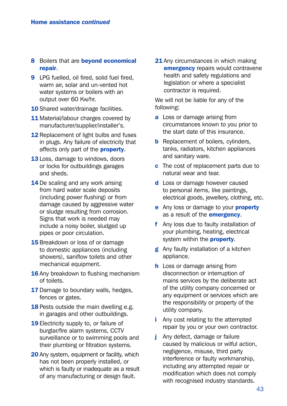- 8 Boilers that are beyond economical repair.
- 9 LPG fuelled, oil fired, solid fuel fired. warm air, solar and un-vented hot water systems or boilers with an output over 60 Kw/hr.
- 10 Shared water/drainage facilities.
- 11 Material/labour charges covered by manufacturer/supplier/installer's.
- 12 Replacement of light bulbs and fuses in plugs. Any failure of electricity that affects only part of the **property**.
- 13 Loss, damage to windows, doors or locks for outbuildings garages and sheds.
- 14 De scaling and any work arising from hard water scale deposits (including power flushing) or from damage caused by aggressive water or sludge resulting from corrosion. Signs that work is needed may include a noisy boiler, sludged up pipes or poor circulation.
- 15 Breakdown or loss of or damage to domestic appliances (including showers), saniflow toilets and other mechanical equipment.
- **16** Any breakdown to flushing mechanism of toilets.
- **17** Damage to boundary walls, hedges, fences or gates.
- 18 Pests outside the main dwelling e.g. in garages and other outbuildings.
- 19 Electricity supply to, or failure of burglar/fire alarm systems, CCTV surveillance or to swimming pools and their plumbing or filtration systems.
- 20 Any system, equipment or facility, which has not been properly installed, or which is faulty or inadequate as a result of any manufacturing or design fault.

21 Any circumstances in which making **emergency** repairs would contravene health and safety regulations and legislation or where a specialist contractor is required.

We will not be liable for any of the following:

- a Loss or damage arising from circumstances known to you prior to the start date of this insurance.
- **b** Replacement of boilers, cylinders, tanks, radiators, kitchen appliances and sanitary ware.
- c The cost of replacement parts due to natural wear and tear.
- d Loss or damage however caused to personal items, like paintings, electrical goods, jewellery, clothing, etc.
- e Any loss or damage to your **property** as a result of the **emergency**.
- f Any loss due to faulty installation of your plumbing, heating, electrical system within the **property**.
- g Any faulty installation of a kitchen appliance.
- **h** Loss or damage arising from disconnection or interruption of mains services by the deliberate act of the utility company concerned or any equipment or services which are the responsibility or property of the utility company.
- i Any cost relating to the attempted repair by you or your own contractor.
- j Any defect, damage or failure caused by malicious or wilful action, negligence, misuse, third party interference or faulty workmanship, including any attempted repair or modification which does not comply with recognised industry standards.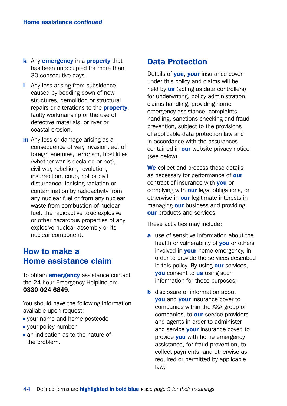- k Any emergency in a property that has been unoccupied for more than 30 consecutive days.
- **I** Any loss arising from subsidence caused by bedding down of new structures, demolition or structural repairs or alterations to the **property**. faulty workmanship or the use of defective materials, or river or coastal erosion.
- m Any loss or damage arising as a consequence of war, invasion, act of foreign enemies, terrorism, hostilities (whether war is declared or not), civil war, rebellion, revolution, insurrection, coup, riot or civil disturbance; ionising radiation or contamination by radioactivity from any nuclear fuel or from any nuclear waste from combustion of nuclear fuel, the radioactive toxic explosive or other hazardous properties of any explosive nuclear assembly or its nuclear component.

# How to make a Home assistance claim

To obtain **emergency** assistance contact the 24 hour Emergency Helpline on: 0330 024 6849.

You should have the following information available upon request:

- vour name and home postcode
- vour policy number
- an indication as to the nature of the problem.

## Data Protection

Details of **you, your** insurance cover under this policy and claims will be held by us (acting as data controllers) for underwriting, policy administration, claims handling, providing home emergency assistance, complaints handling, sanctions checking and fraud prevention, subject to the provisions of applicable data protection law and in accordance with the assurances contained in **our** website privacy notice (see below).

We collect and process these details as necessary for performance of our contract of insurance with you or complying with **our** legal obligations, or otherwise in **our** legitimate interests in managing **our** business and providing our products and services.

These activities may include:

- a use of sensitive information about the health or vulnerability of **you** or others involved in **your** home emergency, in order to provide the services described in this policy. By using our services, **you** consent to us using such information for these purposes;
- **b** disclosure of information about **vou** and **your** insurance cover to companies within the AXA group of companies, to **our** service providers and agents in order to administer and service your insurance cover, to provide **you** with home emergency assistance, for fraud prevention, to collect payments, and otherwise as required or permitted by applicable law;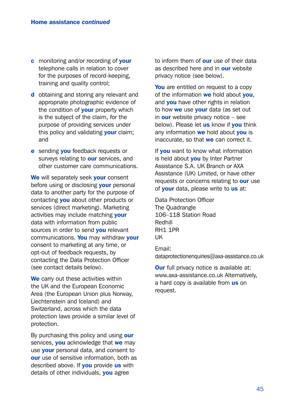- c monitoring and/or recording of your telephone calls in relation to cover for the purposes of record-keeping, training and quality control;
- d obtaining and storing any relevant and appropriate photographic evidence of the condition of **your** property which is the subject of the claim, for the purpose of providing services under this policy and validating your claim; and
- e sending you feedback requests or surveys relating to **our** services, and other customer care communications.

We will separately seek your consent before using or disclosing **your** personal data to another party for the purpose of contacting **you** about other products or services (direct marketing). Marketing activities may include matching your data with information from public sources in order to send **you** relevant communications. You may withdraw vour consent to marketing at any time, or opt-out of feedback requests, by contacting the Data Protection Officer (see contact details below).

We carry out these activities within the UK and the European Economic Area (the European Union plus Norway, Liechtenstein and Iceland) and Switzerland, across which the data protection laws provide a similar level of protection.

By purchasing this policy and using our services, **you** acknowledge that we may use your personal data, and consent to our use of sensitive information, both as described above. If **you** provide us with details of other individuals, **you** agree

to inform them of **our** use of their data as described here and in **our** website privacy notice (see below).

You are entitled on request to a copy of the information we hold about vou. and **you** have other rights in relation to how we use vour data (as set out in **our** website privacy notice  $-$  see below). Please let us know if you think any information we hold about you is inaccurate, so that we can correct it.

If you want to know what information is held about **you** by Inter Partner Assistance S.A. UK Branch or AXA Assistance (UK) Limited, or have other requests or concerns relating to **our** use of **your** data, please write to us at:

Data Protection Officer The Quadrangle 106–118 Station Road Redhill RH1 1PR UK

Email: [dataprotectionenquiries@axa-assistance.co.uk](mailto:dataprotectionenquiries%40axa-assistance.co.uk?subject=)

**Our** full privacy notice is available at: [www.axa-assistance.co.uk](http://www.axa-assistance.co.uk) Alternatively, a hard copy is available from us on request.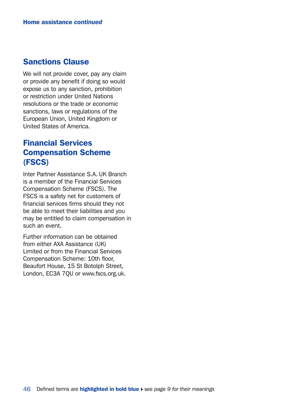## Sanctions Clause

We will not provide cover, pay any claim or provide any benefit if doing so would expose us to any sanction, prohibition or restriction under United Nations resolutions or the trade or economic sanctions, laws or regulations of the European Union, United Kingdom or United States of America.

# Financial Services Compensation Scheme (FSCS)

Inter Partner Assistance S.A. UK Branch is a member of the Financial Services Compensation Scheme (FSCS). The FSCS is a safety net for customers of financial services firms should they not be able to meet their liabilities and you may be entitled to claim compensation in such an event.

Further information can be obtained from either AXA Assistance (UK) Limited or from the Financial Services Compensation Scheme: 10th floor, Beaufort House, 15 St Botolph Street, London, EC3A 7QU or [www.fscs.org.uk.](http://www.fscs.org.uk)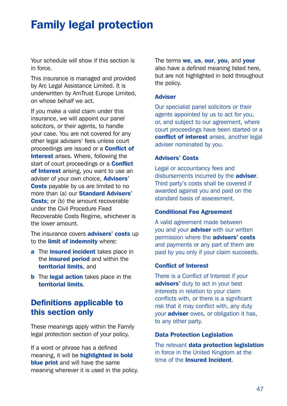# Family legal protection

Your schedule will show if this section is in force.

This insurance is managed and provided by Arc Legal Assistance Limited. It is underwritten by AmTrust Europe Limited, on whose behalf we act.

If you make a valid claim under this insurance, we will appoint our panel solicitors, or their agents, to handle your case. You are not covered for any other legal advisers' fees unless court proceedings are issued or a Conflict of Interest arises. Where, following the start of court proceedings or a **Conflict** of Interest arising, you want to use an adviser of your own choice, **Advisers'** Costs payable by us are limited to no more than (a) our **Standard Advisers'** Costs: or (b) the amount recoverable under the Civil Procedure Fixed Recoverable Costs Regime, whichever is the lower amount.

The insurance covers **advisers' costs** up to the **limit of indemnity** where:

- a The *insured* incident takes place in the **insured period** and within the territorial limits, and
- **b** The legal action takes place in the territorial limits.

# Definitions applicable to this section only

These meanings apply within the Family legal protection section of your policy.

If a word or phrase has a defined meaning, it will be highlighted in bold **blue print** and will have the same meaning wherever it is used in the policy. The terms we, us, our, you, and your also have a defined meaning listed here, but are not highlighted in bold throughout the policy.

#### **Adviser**

Our specialist panel solicitors or their agents appointed by us to act for you, or, and subject to our agreement, where court proceedings have been started or a conflict of interest arises, another legal adviser nominated by you.

#### Advisers' Costs

Legal or accountancy fees and disbursements incurred by the adviser. Third party's costs shall be covered if awarded against you and paid on the standard basis of assessment.

#### Conditional Fee Agreement

A valid agreement made between you and your **adviser** with our written permission where the **advisers' costs** and payments or any part of them are paid by you only if your claim succeeds.

#### Conflict of Interest

There is a Conflict of Interest if your advisers' duty to act in your best interests in relation to your claim conflicts with, or there is a significant risk that it may conflict with, any duty your **adviser** owes, or obligation it has, to any other party.

#### Data Protection Legislation

The relevant data protection legislation in force in the United Kingdom at the time of the **Insured Incident**.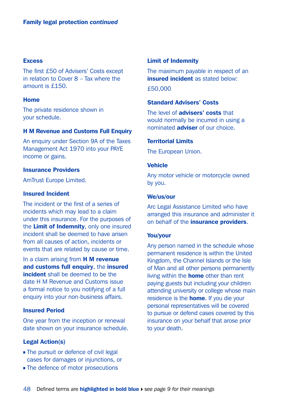#### **Excess**

The first £50 of Advisers' Costs except in relation to Cover 8 – Tax where the amount is £150.

#### Home

The private residence shown in your schedule.

#### H M Revenue and Customs Full Enquiry

An enquiry under Section 9A of the Taxes Management Act 1970 into your PAYE income or gains.

#### Insurance Providers

AmTrust Europe Limited.

#### Insured Incident

The incident or the first of a series of incidents which may lead to a claim under this insurance. For the purposes of the Limit of Indemnity, only one insured incident shall be deemed to have arisen from all causes of action, incidents or events that are related by cause or time.

In a claim arising from **H M revenue** and customs full enquiry, the insured incident shall be deemed to be the date H M Revenue and Customs issue a formal notice to you notifying of a full enquiry into your non-business affairs.

#### Insured Period

One year from the inception or renewal date shown on your insurance schedule.

#### Legal Action(s)

- The pursuit or defence of civil legal cases for damages or injunctions, or
- The defence of motor prosecutions

#### Limit of Indemnity

The maximum payable in respect of an insured incident as stated below:

£50,000

#### Standard Advisers' Costs

The level of **advisers' costs** that would normally be incurred in using a nominated **adviser** of our choice.

#### Territorial Limits

The European Union.

#### **Vehicle**

Any motor vehicle or motorcycle owned by you.

#### We/us/our

Arc Legal Assistance Limited who have arranged this insurance and administer it on behalf of the *insurance providers*.

#### You/your

Any person named in the schedule whose permanent residence is within the United Kingdom, the Channel Islands or the Isle of Man and all other persons permanently living within the **home** other than rent paying guests but including your children attending university or college whose main residence is the **home**. If you die your personal representatives will be covered to pursue or defend cases covered by this insurance on your behalf that arose prior to your death.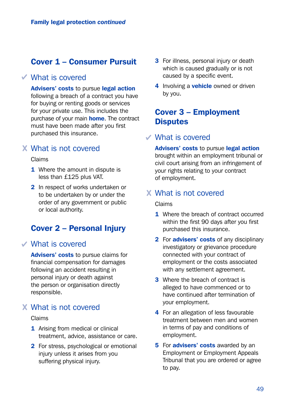# Cover 1 – Consumer Pursuit

## What is covered

Advisers' costs to pursue legal action following a breach of a contract you have for buying or renting goods or services for your private use. This includes the purchase of your main **home**. The contract must have been made after you first purchased this insurance.

## What is not covered

#### Claims

- 1 Where the amount in dispute is less than £125 plus VAT.
- 2 In respect of works undertaken or to be undertaken by or under the order of any government or public or local authority.

## Cover 2 – Personal Injury

## What is covered

Advisers' costs to pursue claims for financial compensation for damages following an accident resulting in personal injury or death against the person or organisation directly responsible.

# What is not covered

#### Claims

- 1 Arising from medical or clinical treatment, advice, assistance or care.
- 2 For stress, psychological or emotional injury unless it arises from you suffering physical injury.
- **3** For illness, personal injury or death which is caused gradually or is not caused by a specific event.
- 4 Involving a **vehicle** owned or driven by you.

# Cover 3 – Employment **Disputes**

#### What is covered

Advisers' costs to pursue legal action brought within an employment tribunal or civil court arising from an infringement of your rights relating to your contract of employment.

## What is not covered

Claims

- 1 Where the breach of contract occurred within the first 90 days after you first purchased this insurance.
- 2 For advisers' costs of any disciplinary investigatory or grievance procedure connected with your contract of employment or the costs associated with any settlement agreement.
- **3** Where the breach of contract is alleged to have commenced or to have continued after termination of your employment.
- 4 For an allegation of less favourable treatment between men and women in terms of pay and conditions of employment.
- **5** For **advisers' costs** awarded by an Employment or Employment Appeals Tribunal that you are ordered or agree to pay.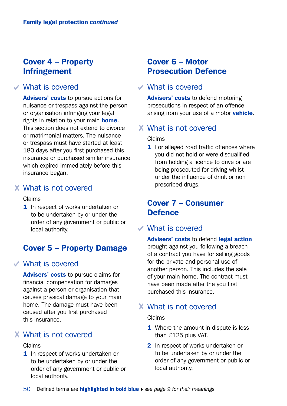# Cover 4 – Property Infringement

# What is covered

Advisers' costs to pursue actions for nuisance or trespass against the person or organisation infringing your legal rights in relation to your main home. This section does not extend to divorce or matrimonial matters. The nuisance or trespass must have started at least 180 days after you first purchased this insurance or purchased similar insurance which expired immediately before this insurance began.

## What is not covered

Claims

1 In respect of works undertaken or to be undertaken by or under the order of any government or public or local authority.

# Cover 5 – Property Damage

## What is covered

Advisers' costs to pursue claims for financial compensation for damages against a person or organisation that causes physical damage to your main home. The damage must have been caused after you first purchased this insurance.

# What is not covered

#### Claims

1 In respect of works undertaken or to be undertaken by or under the order of any government or public or local authority.

# Cover 6 – Motor Prosecution Defence

## What is covered

Advisers' costs to defend motoring prosecutions in respect of an offence arising from your use of a motor vehicle.

## What is not covered

Claims

**1** For alleged road traffic offences where you did not hold or were disqualified from holding a licence to drive or are being prosecuted for driving whilst under the influence of drink or non prescribed drugs.

# Cover 7 – Consumer **Defence**

## What is covered

Advisers' costs to defend legal action brought against you following a breach of a contract you have for selling goods for the private and personal use of another person. This includes the sale of your main home. The contract must have been made after the you first purchased this insurance.

## What is not covered

Claims

- **1** Where the amount in dispute is less than £125 plus VAT.
- 2 In respect of works undertaken or to be undertaken by or under the order of any government or public or local authority.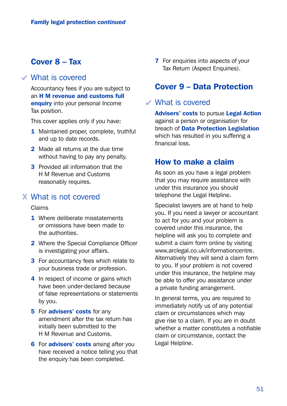# Cover 8 – Tax

### What is covered

Accountancy fees if you are subject to an H M revenue and customs full enquiry into your personal Income Tax position.

This cover applies only if you have:

- 1 Maintained proper, complete, truthful and up to date records.
- 2 Made all returns at the due time without having to pay any penalty.
- **3** Provided all information that the H M Revenue and Customs reasonably requires.

### What is not covered

#### Claims

- 1 Where deliberate misstatements or omissions have been made to the authorities.
- 2 Where the Special Compliance Officer is investigating your affairs.
- **3** For accountancy fees which relate to your business trade or profession.
- 4 In respect of income or gains which have been under-declared because of false representations or statements by you.
- **5** For **advisers' costs** for any amendment after the tax return has initially been submitted to the H M Revenue and Customs.
- **6** For **advisers' costs** arising after you have received a notice telling you that the enquiry has been completed.

**7** For enquiries into aspects of your Tax Return (Aspect Enquiries).

# Cover 9 – Data Protection

### What is covered

Advisers' costs to pursue Legal Action against a person or organisation for breach of Data Protection Legislation which has resulted in you suffering a financial loss.

### How to make a claim

As soon as you have a legal problem that you may require assistance with under this insurance you should telephone the Legal Helpline.

Specialist lawyers are at hand to help you. If you need a lawyer or accountant to act for you and your problem is covered under this insurance, the helpline will ask you to complete and submit a claim form online by visiting [www.arclegal.co.uk/informationcentre](http://www.arclegal.co.uk/informationcentre). Alternatively they will send a claim form to you. If your problem is not covered under this insurance, the helpline may be able to offer you assistance under a private funding arrangement.

In general terms, you are required to immediately notify us of any potential claim or circumstances which may give rise to a claim. If you are in doubt whether a matter constitutes a notifiable claim or circumstance, contact the Legal Helpline.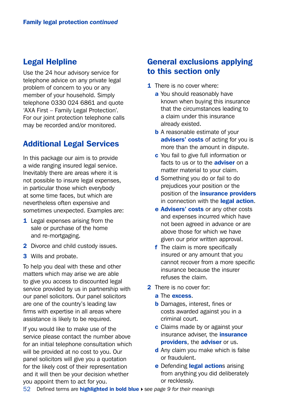# Legal Helpline

Use the 24 hour advisory service for telephone advice on any private legal problem of concern to you or any member of your household. Simply telephone 0330 024 6861 and quote 'AXA First – Family Legal Protection'. For our joint protection telephone calls may be recorded and/or monitored.

## Additional Legal Services

In this package our aim is to provide a wide ranging insured legal service. Inevitably there are areas where it is not possible to insure legal expenses, in particular those which everybody at some time faces, but which are nevertheless often expensive and sometimes unexpected. Examples are:

- 1 Legal expenses arising from the sale or purchase of the home and re-mortgaging.
- 2 Divorce and child custody issues.
- 3 Wills and probate.

To help you deal with these and other matters which may arise we are able to give you access to discounted legal service provided by us in partnership with our panel solicitors. Our panel solicitors are one of the country's leading law firms with expertise in all areas where assistance is likely to be required.

If you would like to make use of the service please contact the number above for an initial telephone consultation which will be provided at no cost to you. Our panel solicitors will give you a quotation for the likely cost of their representation and it will then be your decision whether you appoint them to act for you.

# General exclusions applying to this section only

- **1** There is no cover where:
	- a You should reasonably have known when buying this insurance that the circumstances leading to a claim under this insurance already existed.
	- **b** A reasonable estimate of your advisers' costs of acting for you is more than the amount in dispute.
	- c You fail to give full information or facts to us or to the **adviser** on a matter material to your claim.
	- d Something you do or fail to do prejudices your position or the position of the *insurance* providers in connection with the **legal action**.
	- e Advisers' costs or any other costs and expenses incurred which have not been agreed in advance or are above those for which we have given our prior written approval.
	- f The claim is more specifically insured or any amount that you cannot recover from a more specific insurance because the insurer refuses the claim.
- 2 There is no cover for:
	- a The excess.
	- **b** Damages, interest, fines or costs awarded against you in a criminal court.
	- **c** Claims made by or against your insurance adviser, the **insurance** providers, the adviser or us.
	- d Any claim you make which is false or fraudulent.
	- e Defending legal actions arising from anything you did deliberately or recklessly.
- 52 Defined terms are **highlighted in bold blue** ▶ see page 9 for their meanings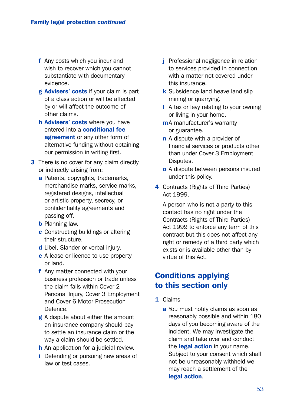- f Any costs which you incur and wish to recover which you cannot substantiate with documentary evidence.
- g Advisers' costs if your claim is part of a class action or will be affected by or will affect the outcome of other claims.
- h Advisers' costs where you have entered into a **conditional fee** agreement or any other form of alternative funding without obtaining our permission in writing first.
- **3** There is no cover for any claim directly or indirectly arising from:
	- a Patents, copyrights, trademarks, merchandise marks, service marks, registered designs, intellectual or artistic property, secrecy, or confidentiality agreements and passing off.
	- **b** Planning law.
	- c Constructing buildings or altering their structure.
	- d Libel, Slander or verbal injury.
	- e A lease or licence to use property or land.
	- f Any matter connected with your business profession or trade unless the claim falls within Cover 2 Personal Injury, Cover 3 Employment and Cover 6 Motor Prosecution Defence.
	- g A dispute about either the amount an insurance company should pay to settle an insurance claim or the way a claim should be settled.
	- **h** An application for a judicial review.
	- **i** Defending or pursuing new areas of law or test cases.
- **j** Professional negligence in relation to services provided in connection with a matter not covered under this insurance.
- k Subsidence land heave land slip mining or quarrying.
- l A tax or levy relating to your owning or living in your home.
- m A manufacturer's warranty or guarantee.
- n A dispute with a provider of financial services or products other than under Cover 3 Employment Disputes.
- o A dispute between persons insured under this policy.
- 4 Contracts (Rights of Third Parties) Act 1999.

 A person who is not a party to this contact has no right under the Contracts (Rights of Third Parties) Act 1999 to enforce any term of this contract but this does not affect any right or remedy of a third party which exists or is available other than by virtue of this Act.

# Conditions applying to this section only

- 1 Claims
	- a You must notify claims as soon as reasonably possible and within 180 days of you becoming aware of the incident. We may investigate the claim and take over and conduct the **legal action** in your name. Subject to your consent which shall not be unreasonably withheld we may reach a settlement of the legal action.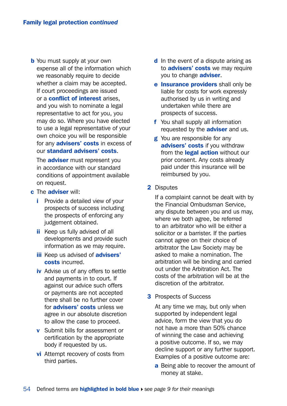**b** You must supply at your own expense all of the information which we reasonably require to decide whether a claim may be accepted. If court proceedings are issued or a conflict of interest arises, and you wish to nominate a legal representative to act for you, you may do so. Where you have elected to use a legal representative of your own choice you will be responsible for any **advisers' costs** in excess of our standard advisers' costs.

The **adviser** must represent you in accordance with our standard conditions of appointment available on request.

- c The adviser will:
	- **i** Provide a detailed view of your prospects of success including the prospects of enforcing any judgement obtained.
	- ii Keep us fully advised of all developments and provide such information as we may require.
	- iii Keep us advised of **advisers'** costs incurred.
	- iv Advise us of any offers to settle and payments in to court. If against our advice such offers or payments are not accepted there shall be no further cover for **advisers' costs** unless we agree in our absolute discretion to allow the case to proceed.
	- v Submit bills for assessment or certification by the appropriate body if requested by us.
	- vi Attempt recovery of costs from third parties.
- d In the event of a dispute arising as to **advisers' costs** we may require you to change **adviser**.
- e Insurance providers shall only be liable for costs for work expressly authorised by us in writing and undertaken while there are prospects of success.
- f You shall supply all information requested by the **adviser** and us.
- **g** You are responsible for any advisers' costs if you withdraw from the **legal action** without our prior consent. Any costs already paid under this insurance will be reimbursed by you.
- 2 Disputes

 If a complaint cannot be dealt with by the Financial Ombudsman Service, any dispute between you and us may, where we both agree, be referred to an arbitrator who will be either a solicitor or a barrister. If the parties cannot agree on their choice of arbitrator the Law Society may be asked to make a nomination. The arbitration will be binding and carried out under the Arbitration Act. The costs of the arbitration will be at the discretion of the arbitrator.

**3** Prospects of Success

 At any time we may, but only when supported by independent legal advice, form the view that you do not have a more than 50% chance of winning the case and achieving a positive outcome. If so, we may decline support or any further support. Examples of a positive outcome are:

a Being able to recover the amount of money at stake.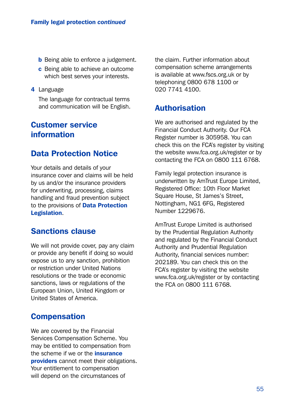- **b** Being able to enforce a judgement.
- c Being able to achieve an outcome which best serves your interests.
- 4 Language

 The language for contractual terms and communication will be English.

## Customer service information

## Data Protection Notice

Your details and details of your insurance cover and claims will be held by us and/or the insurance providers for underwriting, processing, claims handling and fraud prevention subject to the provisions of **Data Protection** Legislation.

# Sanctions clause

We will not provide cover, pay any claim or provide any benefit if doing so would expose us to any sanction, prohibition or restriction under United Nations resolutions or the trade or economic sanctions, laws or regulations of the European Union, United Kingdom or United States of America.

## **Compensation**

We are covered by the Financial Services Compensation Scheme. You may be entitled to compensation from the scheme if we or the *insurance* **providers** cannot meet their obligations. Your entitlement to compensation will depend on the circumstances of

the claim. Further information about compensation scheme arrangements is available at [www.fscs.org.uk](http://www.fscs.org.uk) or by telephoning 0800 678 1100 or 020 7741 4100.

## Authorisation

We are authorised and regulated by the Financial Conduct Authority. Our FCA Register number is 305958. You can check this on the FCA's register by visiting the website [www.fca.org.uk/register](http://www.fca.org.uk/register) or by contacting the FCA on 0800 111 6768.

Family legal protection insurance is underwritten by AmTrust Europe Limited, Registered Office: 10th Floor Market Square House, St James's Street, Nottingham, NG1 6FG, Registered Number 1229676.

AmTrust Europe Limited is authorised by the Prudential Regulation Authority and regulated by the Financial Conduct Authority and Prudential Regulation Authority, financial services number: 202189. You can check this on the FCA's register by visiting the website [www.fca.org.uk/register](http://www.fca.org.uk/register) or by contacting the FCA on 0800 111 6768.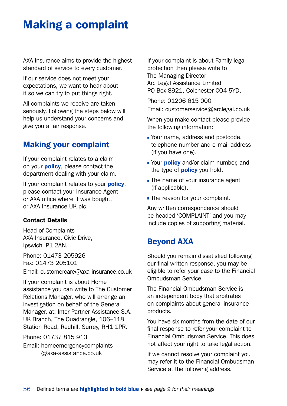# Making a complaint

AXA Insurance aims to provide the highest standard of service to every customer.

If our service does not meet your expectations, we want to hear about it so we can try to put things right.

All complaints we receive are taken seriously. Following the steps below will help us understand your concerns and give you a fair response.

# Making your complaint

If your complaint relates to a claim on your **policy**, please contact the department dealing with your claim.

If your complaint relates to your **policy**, please contact your Insurance Agent or AXA office where it was bought, or AXA Insurance UK plc.

#### Contact Details

Head of Complaints AXA Insurance, Civic Drive, Ipswich IP1 2AN.

Phone: 01473 205926 Fax: 01473 205101 Email: [customercare@axa-insurance.co.uk](mailto:customercare%40axa-insurance.co.uk?subject=)

If your complaint is about Home assistance you can write to The Customer Relations Manager, who will arrange an investigation on behalf of the General Manager, at: Inter Partner Assistance S.A. UK Branch, The Quadrangle, 106–118 Station Road, Redhill, Surrey, RH1 1PR.

Phone: 01737 815 913

Email: [homeemergencycomplaints](mailto:homeemergencycomplaints%40axa-assistance.co.uk?subject=) [@axa-assistance.co.uk](mailto:homeemergencycomplaints%40axa-assistance.co.uk?subject=)

If your complaint is about Family legal protection then please write to The Managing Director Arc Legal Assistance Limited PO Box 8921, Colchester CO4 5YD.

Phone: 01206 615 000

Email: [customerservice@arclegal.co.uk](mailto:customerservice%40arclegal.co.uk?subject=)

When you make contact please provide the following information:

- Your name, address and postcode, telephone number and e-mail address (if you have one).
- Your **policy** and/or claim number, and the type of **policy** you hold.
- The name of your insurance agent (if applicable).
- **The reason for your complaint.**

Any written correspondence should be headed 'COMPLAINT' and you may include copies of supporting material.

# Beyond AXA

Should you remain dissatisfied following our final written response, you may be eligible to refer your case to the Financial Ombudsman Service.

The Financial Ombudsman Service is an independent body that arbitrates on complaints about general insurance products.

You have six months from the date of our final response to refer your complaint to Financial Ombudsman Service. This does not affect your right to take legal action.

If we cannot resolve your complaint you may refer it to the Financial Ombudsman Service at the following address.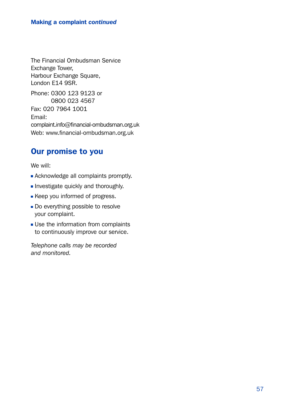The Financial Ombudsman Service Exchange Tower, Harbour Exchange Square, London E14 9SR.

Phone: 0300 123 9123 or 0800 023 4567 Fax: 020 7964 1001 Email: [complaint.info@financial-ombudsman.org.uk](mailto:complaint.info%40financial-ombudsman.org.uk?subject=) Web: [www.financial-ombudsman.org.uk](http://www.financial-ombudsman.org.uk)

# Our promise to you

We will:

- **Acknowledge all complaints promptly.**
- Investigate quickly and thoroughly.
- **Keep you informed of progress.**
- Do everything possible to resolve your complaint.
- **Use the information from complaints** to continuously improve our service.

*Telephone calls may be recorded and monitored.*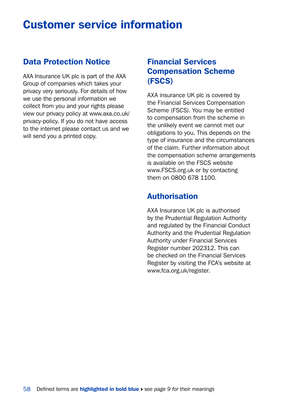# Customer service information

# Data Protection Notice

AXA Insurance UK plc is part of the AXA Group of companies which takes your privacy very seriously. For details of how we use the personal information we collect from you and your rights please view our privacy policy at [www.axa.co.uk/](http://www.axa.co.uk/privacy-policy) [privacy-policy.](http://www.axa.co.uk/privacy-policy) If you do not have access to the internet please contact us and we will send you a printed copy.

# Financial Services Compensation Scheme (FSCS)

AXA insurance UK plc is covered by the Financial Services Compensation Scheme (FSCS). You may be entitled to compensation from the scheme in the unlikely event we cannot met our obligations to you. This depends on the type of insurance and the circumstances of the claim. Further information about the compensation scheme arrangements is available on the FSCS website [www.FSCS.org.uk](http://www.FSCS.org.uk) or by contacting them on 0800 678 1100.

# Authorisation

AXA Insurance UK plc is authorised by the Prudential Regulation Authority and regulated by the Financial Conduct Authority and the Prudential Regulation Authority under Financial Services Register number 202312. This can be checked on the Financial Services Register by visiting the FCA's website at [www.fca.org.uk/register.](http://www.fca.org.uk/register)